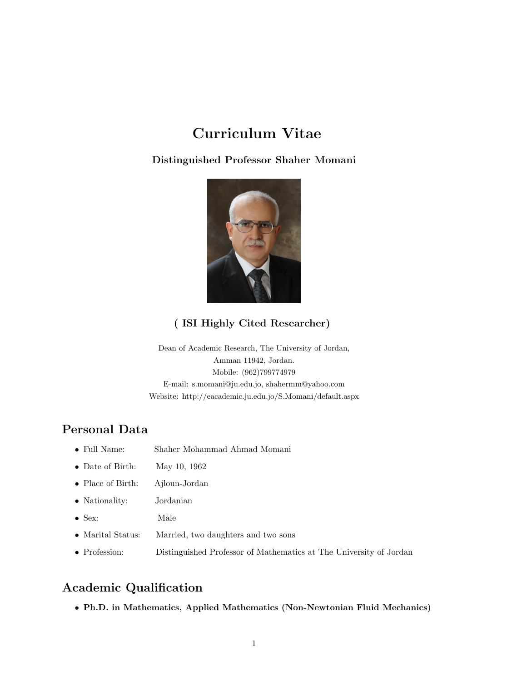# Curriculum Vitae

### Distinguished Professor Shaher Momani



( ISI Highly Cited Researcher)

Dean of Academic Research, The University of Jordan, Amman 11942, Jordan. Mobile: (962)799774979 E-mail: s.momani@ju.edu.jo, shahermm@yahoo.com Website: http://eacademic.ju.edu.jo/S.Momani/default.aspx

## Personal Data

- Full Name: Shaher Mohammad Ahmad Momani
- Date of Birth: May 10, 1962
- Place of Birth: Ajloun-Jordan
- Nationality: Jordanian
- Sex: Male
- Marital Status: Married, two daughters and two sons
- Profession: Distinguished Professor of Mathematics at The University of Jordan

## Academic Qualification

• Ph.D. in Mathematics, Applied Mathematics (Non-Newtonian Fluid Mechanics)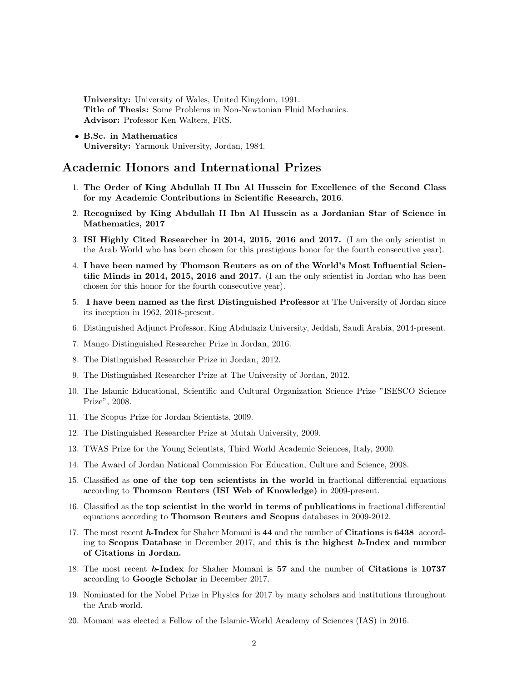University: University of Wales, United Kingdom, 1991. Title of Thesis: Some Problems in Non-Newtonian Fluid Mechanics. Advisor: Professor Ken Walters, FRS.

• B.Sc. in Mathematics University: Yarmouk University, Jordan, 1984.

## Academic Honors and International Prizes

- 1. The Order of King Abdullah II Ibn Al Hussein for Excellence of the Second Class for my Academic Contributions in Scientific Research, 2016.
- 2. Recognized by King Abdullah II Ibn Al Hussein as a Jordanian Star of Science in Mathematics, 2017
- 3. ISI Highly Cited Researcher in 2014, 2015, 2016 and 2017. (I am the only scientist in the Arab World who has been chosen for this prestigious honor for the fourth consecutive year).
- 4. I have been named by Thomson Reuters as on of the World's Most Influential Scientific Minds in 2014, 2015, 2016 and 2017. (I am the only scientist in Jordan who has been chosen for this honor for the fourth consecutive year).
- 5. I have been named as the first Distinguished Professor at The University of Jordan since its inception in 1962, 2018-present.
- 6. Distinguished Adjunct Professor, King Abdulaziz University, Jeddah, Saudi Arabia, 2014-present.
- 7. Mango Distinguished Researcher Prize in Jordan, 2016.
- 8. The Distinguished Researcher Prize in Jordan, 2012.
- 9. The Distinguished Researcher Prize at The University of Jordan, 2012.
- 10. The Islamic Educational, Scientific and Cultural Organization Science Prize "ISESCO Science Prize", 2008.
- 11. The Scopus Prize for Jordan Scientists, 2009.
- 12. The Distinguished Researcher Prize at Mutah University, 2009.
- 13. TWAS Prize for the Young Scientists, Third World Academic Sciences, Italy, 2000.
- 14. The Award of Jordan National Commission For Education, Culture and Science, 2008.
- 15. Classified as one of the top ten scientists in the world in fractional differential equations according to Thomson Reuters (ISI Web of Knowledge) in 2009-present.
- 16. Classified as the top scientist in the world in terms of publications in fractional differential equations according to Thomson Reuters and Scopus databases in 2009-2012.
- 17. The most recent h-Index for Shaher Momani is 44 and the number of Citations is 6438 according to Scopus Database in December 2017, and this is the highest h-Index and number of Citations in Jordan.
- 18. The most recent h-Index for Shaher Momani is 57 and the number of Citations is 10737 according to Google Scholar in December 2017.
- 19. Nominated for the Nobel Prize in Physics for 2017 by many scholars and institutions throughout the Arab world.
- 20. Momani was elected a Fellow of the Islamic-World Academy of Sciences (IAS) in 2016.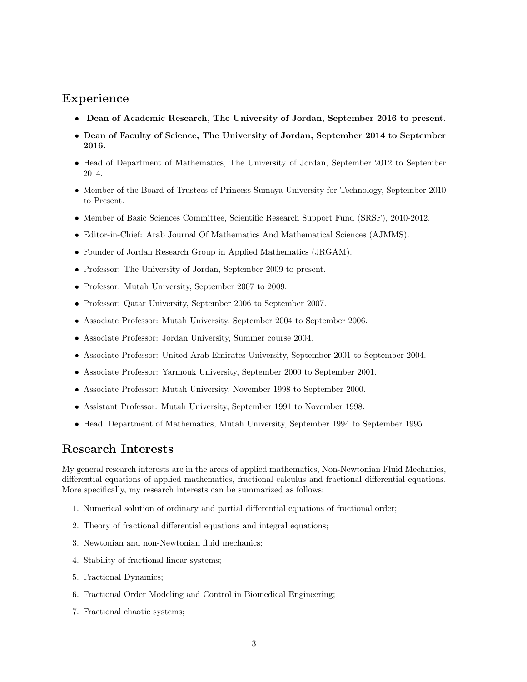### Experience

- Dean of Academic Research, The University of Jordan, September 2016 to present.
- Dean of Faculty of Science, The University of Jordan, September 2014 to September 2016.
- Head of Department of Mathematics, The University of Jordan, September 2012 to September 2014.
- Member of the Board of Trustees of Princess Sumaya University for Technology, September 2010 to Present.
- Member of Basic Sciences Committee, Scientific Research Support Fund (SRSF), 2010-2012.
- Editor-in-Chief: Arab Journal Of Mathematics And Mathematical Sciences (AJMMS).
- Founder of Jordan Research Group in Applied Mathematics (JRGAM).
- Professor: The University of Jordan, September 2009 to present.
- Professor: Mutah University, September 2007 to 2009.
- Professor: Qatar University, September 2006 to September 2007.
- Associate Professor: Mutah University, September 2004 to September 2006.
- Associate Professor: Jordan University, Summer course 2004.
- Associate Professor: United Arab Emirates University, September 2001 to September 2004.
- Associate Professor: Yarmouk University, September 2000 to September 2001.
- Associate Professor: Mutah University, November 1998 to September 2000.
- Assistant Professor: Mutah University, September 1991 to November 1998.
- Head, Department of Mathematics, Mutah University, September 1994 to September 1995.

## Research Interests

My general research interests are in the areas of applied mathematics, Non-Newtonian Fluid Mechanics, differential equations of applied mathematics, fractional calculus and fractional differential equations. More specifically, my research interests can be summarized as follows:

- 1. Numerical solution of ordinary and partial differential equations of fractional order;
- 2. Theory of fractional differential equations and integral equations;
- 3. Newtonian and non-Newtonian fluid mechanics;
- 4. Stability of fractional linear systems;
- 5. Fractional Dynamics;
- 6. Fractional Order Modeling and Control in Biomedical Engineering;
- 7. Fractional chaotic systems;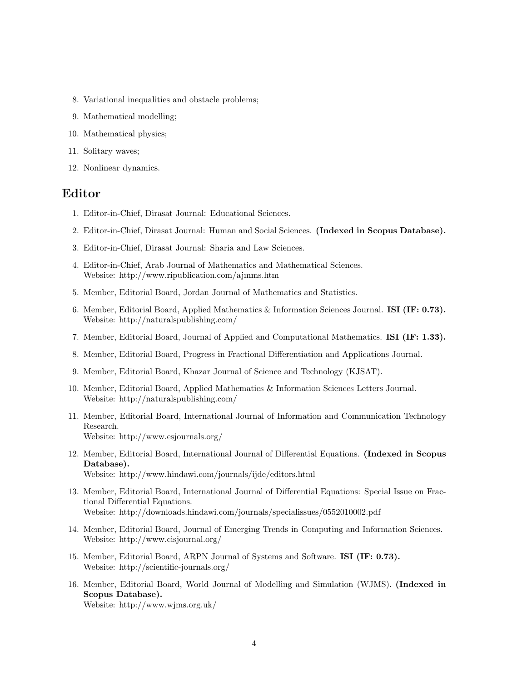- 8. Variational inequalities and obstacle problems;
- 9. Mathematical modelling;
- 10. Mathematical physics;
- 11. Solitary waves;
- 12. Nonlinear dynamics.

### Editor

- 1. Editor-in-Chief, Dirasat Journal: Educational Sciences.
- 2. Editor-in-Chief, Dirasat Journal: Human and Social Sciences. (Indexed in Scopus Database).
- 3. Editor-in-Chief, Dirasat Journal: Sharia and Law Sciences.
- 4. Editor-in-Chief, Arab Journal of Mathematics and Mathematical Sciences. Website: http://www.ripublication.com/ajmms.htm
- 5. Member, Editorial Board, Jordan Journal of Mathematics and Statistics.
- 6. Member, Editorial Board, Applied Mathematics & Information Sciences Journal. ISI (IF: 0.73). Website: http://naturalspublishing.com/
- 7. Member, Editorial Board, Journal of Applied and Computational Mathematics. ISI (IF: 1.33).
- 8. Member, Editorial Board, Progress in Fractional Differentiation and Applications Journal.
- 9. Member, Editorial Board, Khazar Journal of Science and Technology (KJSAT).
- 10. Member, Editorial Board, Applied Mathematics & Information Sciences Letters Journal. Website: http://naturalspublishing.com/
- 11. Member, Editorial Board, International Journal of Information and Communication Technology Research. Website: http://www.esjournals.org/
- 12. Member, Editorial Board, International Journal of Differential Equations. (Indexed in Scopus Database). Website: http://www.hindawi.com/journals/ijde/editors.html
- 13. Member, Editorial Board, International Journal of Differential Equations: Special Issue on Fractional Differential Equations. Website: http://downloads.hindawi.com/journals/specialissues/0552010002.pdf
- 14. Member, Editorial Board, Journal of Emerging Trends in Computing and Information Sciences. Website: http://www.cisjournal.org/
- 15. Member, Editorial Board, ARPN Journal of Systems and Software. ISI (IF: 0.73). Website: http://scientific-journals.org/
- 16. Member, Editorial Board, World Journal of Modelling and Simulation (WJMS). (Indexed in Scopus Database). Website: http://www.wjms.org.uk/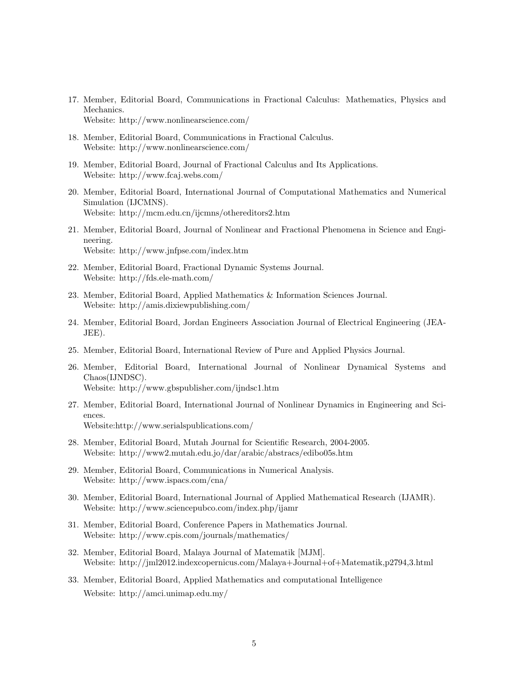- 17. Member, Editorial Board, Communications in Fractional Calculus: Mathematics, Physics and Mechanics. Website: http://www.nonlinearscience.com/
- 18. Member, Editorial Board, Communications in Fractional Calculus. Website: http://www.nonlinearscience.com/
- 19. Member, Editorial Board, Journal of Fractional Calculus and Its Applications. Website: http://www.fcaj.webs.com/
- 20. Member, Editorial Board, International Journal of Computational Mathematics and Numerical Simulation (IJCMNS). Website: http://mcm.edu.cn/ijcmns/othereditors2.htm
- 21. Member, Editorial Board, Journal of Nonlinear and Fractional Phenomena in Science and Engineering. Website: http://www.jnfpse.com/index.htm
- 22. Member, Editorial Board, Fractional Dynamic Systems Journal. Website: http://fds.ele-math.com/
- 23. Member, Editorial Board, Applied Mathematics & Information Sciences Journal. Website: http://amis.dixiewpublishing.com/
- 24. Member, Editorial Board, Jordan Engineers Association Journal of Electrical Engineering (JEA-JEE).
- 25. Member, Editorial Board, International Review of Pure and Applied Physics Journal.
- 26. Member, Editorial Board, International Journal of Nonlinear Dynamical Systems and Chaos(IJNDSC). Website: http://www.gbspublisher.com/ijndsc1.htm
- 27. Member, Editorial Board, International Journal of Nonlinear Dynamics in Engineering and Sciences. Website:http://www.serialspublications.com/
- 28. Member, Editorial Board, Mutah Journal for Scientific Research, 2004-2005. Website: http://www2.mutah.edu.jo/dar/arabic/abstracs/edibo05s.htm
- 29. Member, Editorial Board, Communications in Numerical Analysis. Website: http://www.ispacs.com/cna/
- 30. Member, Editorial Board, International Journal of Applied Mathematical Research (IJAMR). Website: http://www.sciencepubco.com/index.php/ijamr
- 31. Member, Editorial Board, Conference Papers in Mathematics Journal. Website: http://www.cpis.com/journals/mathematics/
- 32. Member, Editorial Board, Malaya Journal of Matematik [MJM]. Website: http://jml2012.indexcopernicus.com/Malaya+Journal+of+Matematik,p2794,3.html
- 33. Member, Editorial Board, Applied Mathematics and computational Intelligence Website: http://amci.unimap.edu.my/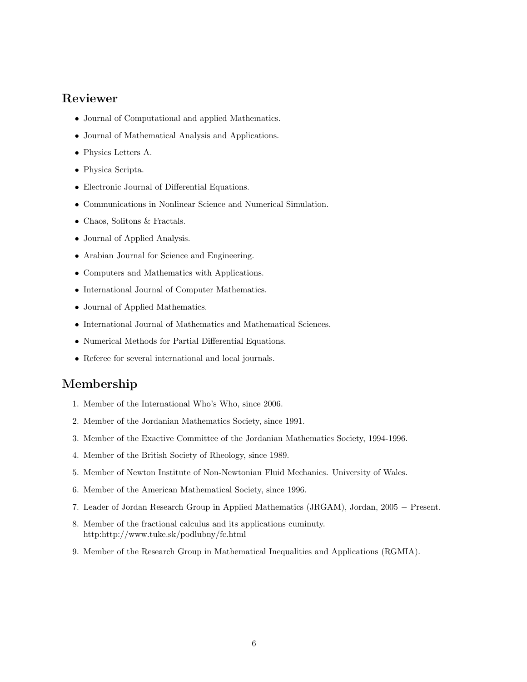## Reviewer

- Journal of Computational and applied Mathematics.
- Journal of Mathematical Analysis and Applications.
- Physics Letters A.
- Physica Scripta.
- Electronic Journal of Differential Equations.
- Communications in Nonlinear Science and Numerical Simulation.
- Chaos, Solitons & Fractals.
- Journal of Applied Analysis.
- Arabian Journal for Science and Engineering.
- Computers and Mathematics with Applications.
- International Journal of Computer Mathematics.
- Journal of Applied Mathematics.
- International Journal of Mathematics and Mathematical Sciences.
- Numerical Methods for Partial Differential Equations.
- Referee for several international and local journals.

## Membership

- 1. Member of the International Who's Who, since 2006.
- 2. Member of the Jordanian Mathematics Society, since 1991.
- 3. Member of the Exactive Committee of the Jordanian Mathematics Society, 1994-1996.
- 4. Member of the British Society of Rheology, since 1989.
- 5. Member of Newton Institute of Non-Newtonian Fluid Mechanics. University of Wales.
- 6. Member of the American Mathematical Society, since 1996.
- 7. Leader of Jordan Research Group in Applied Mathematics (JRGAM), Jordan, 2005 − Present.
- 8. Member of the fractional calculus and its applications cuminuty. http:http://www.tuke.sk/podlubny/fc.html
- 9. Member of the Research Group in Mathematical Inequalities and Applications (RGMIA).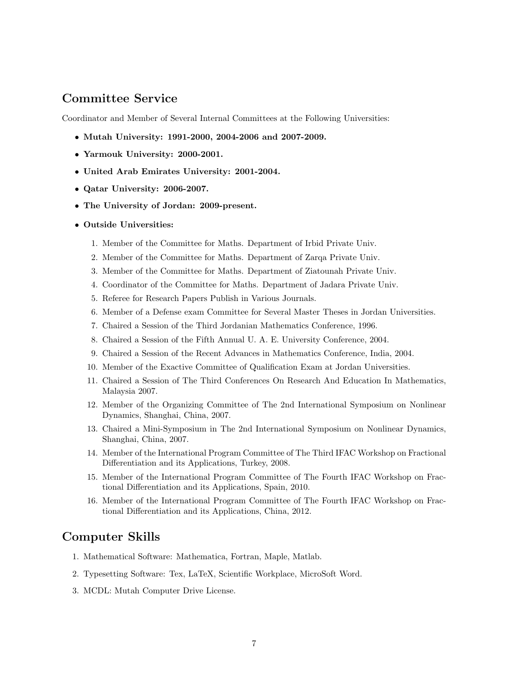## Committee Service

Coordinator and Member of Several Internal Committees at the Following Universities:

- Mutah University: 1991-2000, 2004-2006 and 2007-2009.
- Yarmouk University: 2000-2001.
- United Arab Emirates University: 2001-2004.
- Qatar University: 2006-2007.
- The University of Jordan: 2009-present.
- Outside Universities:
	- 1. Member of the Committee for Maths. Department of Irbid Private Univ.
	- 2. Member of the Committee for Maths. Department of Zarqa Private Univ.
	- 3. Member of the Committee for Maths. Department of Ziatounah Private Univ.
	- 4. Coordinator of the Committee for Maths. Department of Jadara Private Univ.
	- 5. Referee for Research Papers Publish in Various Journals.
	- 6. Member of a Defense exam Committee for Several Master Theses in Jordan Universities.
	- 7. Chaired a Session of the Third Jordanian Mathematics Conference, 1996.
	- 8. Chaired a Session of the Fifth Annual U. A. E. University Conference, 2004.
	- 9. Chaired a Session of the Recent Advances in Mathematics Conference, India, 2004.
	- 10. Member of the Exactive Committee of Qualification Exam at Jordan Universities.
	- 11. Chaired a Session of The Third Conferences On Research And Education In Mathematics, Malaysia 2007.
	- 12. Member of the Organizing Committee of The 2nd International Symposium on Nonlinear Dynamics, Shanghai, China, 2007.
	- 13. Chaired a Mini-Symposium in The 2nd International Symposium on Nonlinear Dynamics, Shanghai, China, 2007.
	- 14. Member of the International Program Committee of The Third IFAC Workshop on Fractional Differentiation and its Applications, Turkey, 2008.
	- 15. Member of the International Program Committee of The Fourth IFAC Workshop on Fractional Differentiation and its Applications, Spain, 2010.
	- 16. Member of the International Program Committee of The Fourth IFAC Workshop on Fractional Differentiation and its Applications, China, 2012.

## Computer Skills

- 1. Mathematical Software: Mathematica, Fortran, Maple, Matlab.
- 2. Typesetting Software: Tex, LaTeX, Scientific Workplace, MicroSoft Word.
- 3. MCDL: Mutah Computer Drive License.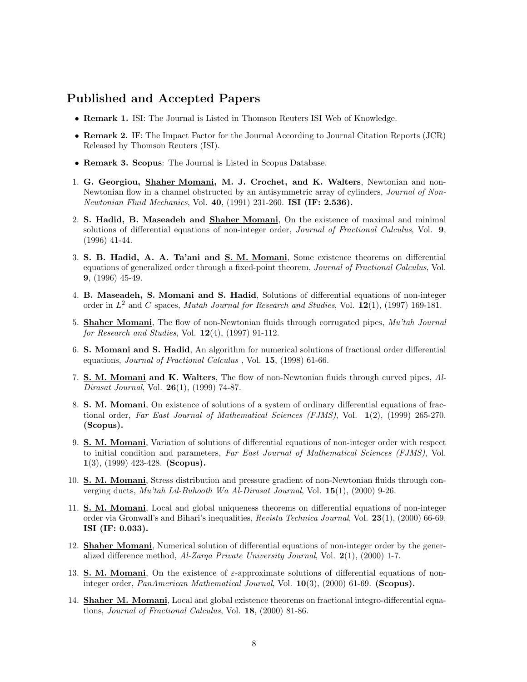### Published and Accepted Papers

- Remark 1. ISI: The Journal is Listed in Thomson Reuters ISI Web of Knowledge.
- Remark 2. IF: The Impact Factor for the Journal According to Journal Citation Reports (JCR) Released by Thomson Reuters (ISI).
- Remark 3. Scopus: The Journal is Listed in Scopus Database.
- 1. G. Georgiou, Shaher Momani, M. J. Crochet, and K. Walters, Newtonian and non-Newtonian flow in a channel obstructed by an antisymmetric array of cylinders, Journal of Non-Newtonian Fluid Mechanics, Vol. 40, (1991) 231-260. ISI (IF: 2.536).
- 2. S. Hadid, B. Maseadeh and Shaher Momani, On the existence of maximal and minimal solutions of differential equations of non-integer order, *Journal of Fractional Calculus*, Vol. 9, (1996) 41-44.
- 3. S. B. Hadid, A. A. Ta'ani and S. M. Momani, Some existence theorems on differential equations of generalized order through a fixed-point theorem, Journal of Fractional Calculus, Vol. 9, (1996) 45-49.
- 4. B. Maseadeh, S. Momani and S. Hadid, Solutions of differential equations of non-integer order in  $L^2$  and C spaces, Mutah Journal for Research and Studies, Vol.  $12(1)$ , (1997) 169-181.
- 5. Shaher Momani, The flow of non-Newtonian fluids through corrugated pipes, Mu'tah Journal for Research and Studies, Vol. 12(4), (1997) 91-112.
- 6. S. Momani and S. Hadid, An algorithm for numerical solutions of fractional order differential equations, Journal of Fractional Calculus , Vol. 15, (1998) 61-66.
- 7. S. M. Momani and K. Walters, The flow of non-Newtonian fluids through curved pipes,  $Al$ -Dirasat Journal, Vol.  $26(1)$ , (1999) 74-87.
- 8. S. M. Momani, On existence of solutions of a system of ordinary differential equations of fractional order, Far East Journal of Mathematical Sciences (FJMS), Vol. 1(2), (1999) 265-270. (Scopus).
- 9. S. M. Momani, Variation of solutions of differential equations of non-integer order with respect to initial condition and parameters, Far East Journal of Mathematical Sciences (FJMS), Vol. 1(3), (1999) 423-428. (Scopus).
- 10. **S. M. Momani**, Stress distribution and pressure gradient of non-Newtonian fluids through converging ducts, Mu'tah Lil-Buhooth Wa Al-Dirasat Journal, Vol. 15(1), (2000) 9-26.
- 11. S. M. Momani, Local and global uniqueness theorems on differential equations of non-integer order via Gronwall's and Bihari's inequalities, Revista Technica Journal, Vol. 23(1), (2000) 66-69. ISI (IF: 0.033).
- 12. Shaher Momani, Numerical solution of differential equations of non-integer order by the generalized difference method, Al-Zarqa Private University Journal, Vol. 2(1), (2000) 1-7.
- 13. S. M. Momani, On the existence of  $\varepsilon$ -approximate solutions of differential equations of noninteger order, PanAmerican Mathematical Journal, Vol. 10(3), (2000) 61-69. (Scopus).
- 14. Shaher M. Momani, Local and global existence theorems on fractional integro-differential equations, Journal of Fractional Calculus, Vol. 18, (2000) 81-86.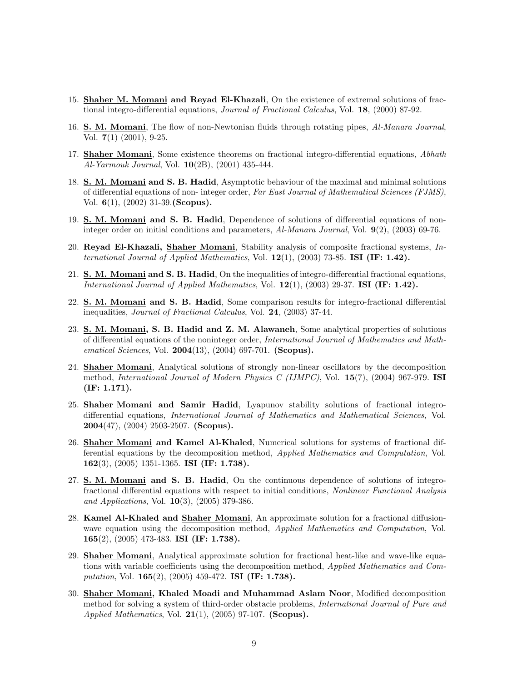- 15. Shaher M. Momani and Reyad El-Khazali, On the existence of extremal solutions of fractional integro-differential equations, Journal of Fractional Calculus, Vol. 18, (2000) 87-92.
- 16. S. M. Momani, The flow of non-Newtonian fluids through rotating pipes, Al-Manara Journal, Vol. 7(1) (2001), 9-25.
- 17. Shaher Momani, Some existence theorems on fractional integro-differential equations, Abhath Al-Yarmouk Journal, Vol. 10(2B), (2001) 435-444.
- 18. S. M. Momani and S. B. Hadid, Asymptotic behaviour of the maximal and minimal solutions of differential equations of non- integer order, Far East Journal of Mathematical Sciences (FJMS), Vol. 6(1), (2002) 31-39.(Scopus).
- 19. S. M. Momani and S. B. Hadid, Dependence of solutions of differential equations of noninteger order on initial conditions and parameters, Al-Manara Journal, Vol. 9(2), (2003) 69-76.
- 20. Reyad El-Khazali, Shaher Momani, Stability analysis of composite fractional systems,  $In$ ternational Journal of Applied Mathematics, Vol.  $12(1)$ ,  $(2003)$  73-85. **ISI** (**IF: 1.42**).
- 21. S. M. Momani and S. B. Hadid, On the inequalities of integro-differential fractional equations, International Journal of Applied Mathematics, Vol.  $12(1)$ , (2003) 29-37. ISI (IF: 1.42).
- 22. S. M. Momani and S. B. Hadid, Some comparison results for integro-fractional differential inequalities, Journal of Fractional Calculus, Vol. 24, (2003) 37-44.
- 23. S. M. Momani, S. B. Hadid and Z. M. Alawaneh, Some analytical properties of solutions of differential equations of the noninteger order, International Journal of Mathematics and Mathematical Sciences, Vol. 2004(13), (2004) 697-701. (Scopus).
- 24. Shaher Momani, Analytical solutions of strongly non-linear oscillators by the decomposition method, International Journal of Modern Physics C (IJMPC), Vol. 15(7), (2004) 967-979. ISI (IF: 1.171).
- 25. Shaher Momani and Samir Hadid, Lyapunov stability solutions of fractional integrodifferential equations, International Journal of Mathematics and Mathematical Sciences, Vol. 2004(47), (2004) 2503-2507. (Scopus).
- 26. Shaher Momani and Kamel Al-Khaled, Numerical solutions for systems of fractional differential equations by the decomposition method, Applied Mathematics and Computation, Vol. 162(3), (2005) 1351-1365. ISI (IF: 1.738).
- 27. S. M. Momani and S. B. Hadid, On the continuous dependence of solutions of integrofractional differential equations with respect to initial conditions, Nonlinear Functional Analysis and Applications, Vol. 10(3), (2005) 379-386.
- 28. Kamel Al-Khaled and Shaher Momani, An approximate solution for a fractional diffusionwave equation using the decomposition method, *Applied Mathematics and Computation*, Vol. 165(2), (2005) 473-483. ISI (IF: 1.738).
- 29. Shaher Momani, Analytical approximate solution for fractional heat-like and wave-like equations with variable coefficients using the decomposition method, Applied Mathematics and Computation, Vol. 165(2), (2005) 459-472. ISI (IF: 1.738).
- 30. Shaher Momani, Khaled Moadi and Muhammad Aslam Noor, Modified decomposition method for solving a system of third-order obstacle problems, International Journal of Pure and Applied Mathematics, Vol. 21(1), (2005) 97-107. (Scopus).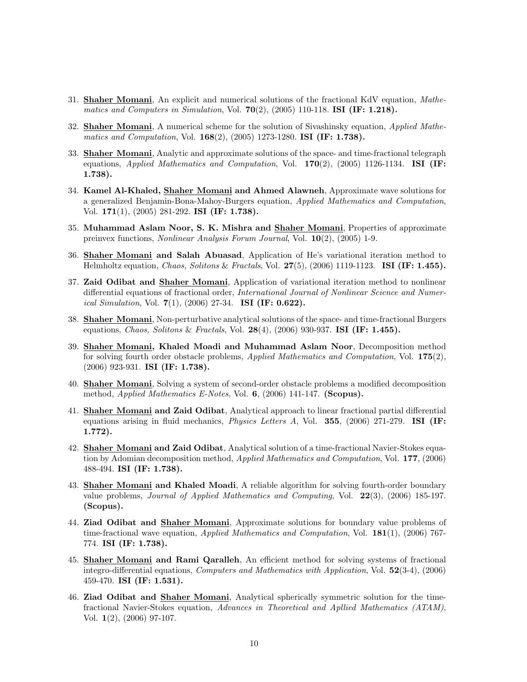- 31. Shaher Momani, An explicit and numerical solutions of the fractional KdV equation, Mathematics and Computers in Simulation, Vol. 70(2), (2005) 110-118. **ISI (IF: 1.218).**
- 32. Shaher Momani, A numerical scheme for the solution of Sivashinsky equation, Applied Mathematics and Computation, Vol. 168(2), (2005) 1273-1280. **ISI (IF: 1.738).**
- 33. Shaher Momani, Analytic and approximate solutions of the space- and time-fractional telegraph equations, Applied Mathematics and Computation, Vol.  $170(2)$ , (2005) 1126-1134. ISI (IF: 1.738).
- 34. Kamel Al-Khaled, Shaher Momani and Ahmed Alawneh, Approximate wave solutions for a generalized Benjamin-Bona-Mahoy-Burgers equation, Applied Mathematics and Computation, Vol. 171(1), (2005) 281-292. ISI (IF: 1.738).
- 35. Muhammad Aslam Noor, S. K. Mishra and Shaher Momani, Properties of approximate preinvex functions, Nonlinear Analysis Forum Journal, Vol. 10(2), (2005) 1-9.
- 36. Shaher Momani and Salah Abuasad, Application of He's variational iteration method to Helmholtz equation, *Chaos, Solitons & Fractals*, Vol. 27(5), (2006) 1119-1123. **ISI (IF: 1.455).**
- 37. Zaid Odibat and Shaher Momani, Application of variational iteration method to nonlinear differential equations of fractional order, International Journal of Nonlinear Science and Numerical Simulation, Vol.  $7(1)$ ,  $(2006)$  27-34. **ISI** (**IF: 0.622**).
- 38. Shaher Momani, Non-perturbative analytical solutions of the space- and time-fractional Burgers equations, Chaos, Solitons & Fractals, Vol. 28(4), (2006) 930-937. ISI (IF: 1.455).
- 39. Shaher Momani, Khaled Moadi and Muhammad Aslam Noor, Decomposition method for solving fourth order obstacle problems, Applied Mathematics and Computation, Vol. 175(2), (2006) 923-931. ISI (IF: 1.738).
- 40. **Shaher Momani**, Solving a system of second-order obstacle problems a modified decomposition method, Applied Mathematics E-Notes, Vol. 6, (2006) 141-147. (Scopus).
- 41. Shaher Momani and Zaid Odibat, Analytical approach to linear fractional partial differential equations arising in fluid mechanics, *Physics Letters A*, Vol.  $355$ ,  $(2006)$   $271-279$ . **ISI** (**IF:** 1.772).
- 42. Shaher Momani and Zaid Odibat, Analytical solution of a time-fractional Navier-Stokes equation by Adomian decomposition method, Applied Mathematics and Computation, Vol. 177, (2006) 488-494. ISI (IF: 1.738).
- 43. Shaher Momani and Khaled Moadi, A reliable algorithm for solving fourth-order boundary value problems, Journal of Applied Mathematics and Computing, Vol. 22(3), (2006) 185-197. (Scopus).
- 44. Ziad Odibat and Shaher Momani, Approximate solutions for boundary value problems of time-fractional wave equation, Applied Mathematics and Computation, Vol. 181(1), (2006) 767- 774. ISI (IF: 1.738).
- 45. Shaher Momani and Rami Qaralleh, An efficient method for solving systems of fractional integro-differential equations, Computers and Mathematics with Application, Vol. 52(3-4), (2006) 459-470. ISI (IF: 1.531).
- 46. Ziad Odibat and Shaher Momani, Analytical spherically symmetric solution for the timefractional Navier-Stokes equation, Advances in Theoretical and Apllied Mathematics (ATAM), Vol. 1(2), (2006) 97-107.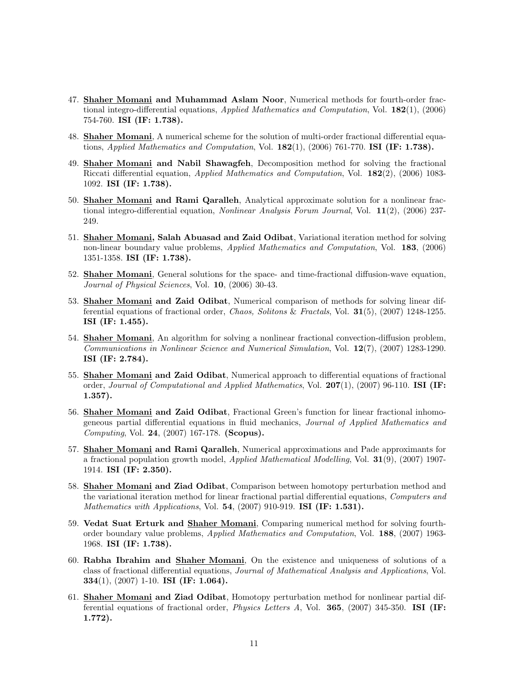- 47. Shaher Momani and Muhammad Aslam Noor, Numerical methods for fourth-order fractional integro-differential equations, Applied Mathematics and Computation, Vol. 182(1), (2006) 754-760. ISI (IF: 1.738).
- 48. **Shaher Momani**, A numerical scheme for the solution of multi-order fractional differential equations, Applied Mathematics and Computation, Vol.  $182(1)$ , (2006) 761-770. ISI (IF: 1.738).
- 49. Shaher Momani and Nabil Shawagfeh, Decomposition method for solving the fractional Riccati differential equation, Applied Mathematics and Computation, Vol. 182(2), (2006) 1083- 1092. ISI (IF: 1.738).
- 50. Shaher Momani and Rami Qaralleh, Analytical approximate solution for a nonlinear fractional integro-differential equation, Nonlinear Analysis Forum Journal, Vol. 11(2), (2006) 237- 249.
- 51. Shaher Momani, Salah Abuasad and Zaid Odibat, Variational iteration method for solving non-linear boundary value problems, Applied Mathematics and Computation, Vol. 183, (2006) 1351-1358. ISI (IF: 1.738).
- 52. Shaher Momani, General solutions for the space- and time-fractional diffusion-wave equation, Journal of Physical Sciences, Vol. 10, (2006) 30-43.
- 53. Shaher Momani and Zaid Odibat, Numerical comparison of methods for solving linear differential equations of fractional order, Chaos, Solitons & Fractals, Vol. 31(5), (2007) 1248-1255. ISI (IF: 1.455).
- 54. Shaher Momani, An algorithm for solving a nonlinear fractional convection-diffusion problem, Communications in Nonlinear Science and Numerical Simulation, Vol. 12(7), (2007) 1283-1290. ISI (IF: 2.784).
- 55. Shaher Momani and Zaid Odibat, Numerical approach to differential equations of fractional order, Journal of Computational and Applied Mathematics, Vol. 207(1), (2007) 96-110. **ISI** (**IF:** 1.357).
- 56. Shaher Momani and Zaid Odibat, Fractional Green's function for linear fractional inhomogeneous partial differential equations in fluid mechanics, Journal of Applied Mathematics and Computing, Vol. 24, (2007) 167-178. (Scopus).
- 57. Shaher Momani and Rami Qaralleh, Numerical approximations and Pade approximants for a fractional population growth model, Applied Mathematical Modelling, Vol. 31(9), (2007) 1907- 1914. ISI (IF: 2.350).
- 58. Shaher Momani and Ziad Odibat, Comparison between homotopy perturbation method and the variational iteration method for linear fractional partial differential equations, Computers and Mathematics with Applications, Vol. 54,  $(2007)$  910-919. ISI (IF: 1.531).
- 59. Vedat Suat Erturk and Shaher Momani, Comparing numerical method for solving fourthorder boundary value problems, Applied Mathematics and Computation, Vol. 188, (2007) 1963- 1968. ISI (IF: 1.738).
- 60. Rabha Ibrahim and Shaher Momani, On the existence and uniqueness of solutions of a class of fractional differential equations, Journal of Mathematical Analysis and Applications, Vol. 334(1), (2007) 1-10. ISI (IF: 1.064).
- 61. Shaher Momani and Ziad Odibat, Homotopy perturbation method for nonlinear partial differential equations of fractional order, *Physics Letters A*, Vol. **365**, (2007) 345-350. **ISI** (**IF:** 1.772).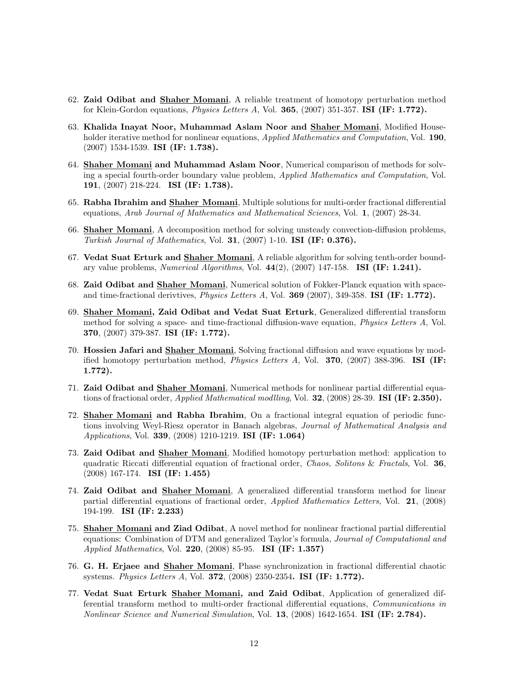- 62. Zaid Odibat and Shaher Momani, A reliable treatment of homotopy perturbation method for Klein-Gordon equations, Physics Letters A, Vol. 365, (2007) 351-357. ISI (IF: 1.772).
- 63. Khalida Inayat Noor, Muhammad Aslam Noor and Shaher Momani, Modified Householder iterative method for nonlinear equations, Applied Mathematics and Computation, Vol. 190, (2007) 1534-1539. ISI (IF: 1.738).
- 64. Shaher Momani and Muhammad Aslam Noor, Numerical comparison of methods for solving a special fourth-order boundary value problem, Applied Mathematics and Computation, Vol. 191, (2007) 218-224. ISI (IF: 1.738).
- 65. Rabha Ibrahim and Shaher Momani, Multiple solutions for multi-order fractional differential equations, Arab Journal of Mathematics and Mathematical Sciences, Vol. 1, (2007) 28-34.
- 66. Shaher Momani, A decomposition method for solving unsteady convection-diffusion problems, Turkish Journal of Mathematics, Vol. 31, (2007) 1-10. ISI (IF: 0.376).
- 67. Vedat Suat Erturk and Shaher Momani, A reliable algorithm for solving tenth-order boundary value problems, *Numerical Algorithms*, Vol.  $44(2)$ ,  $(2007)$  147-158. **ISI** (**IF: 1.241**).
- 68. Zaid Odibat and Shaher Momani, Numerical solution of Fokker-Planck equation with spaceand time-fractional derivtives, *Physics Letters A*, Vol. **369** (2007), 349-358. **ISI** (IF: 1.772).
- 69. Shaher Momani, Zaid Odibat and Vedat Suat Erturk, Generalized differential transform method for solving a space- and time-fractional diffusion-wave equation, Physics Letters A, Vol. 370, (2007) 379-387. ISI (IF: 1.772).
- 70. Hossien Jafari and Shaher Momani, Solving fractional diffusion and wave equations by modified homotopy perturbation method, *Physics Letters A*, Vol.  $370$ , (2007) 388-396. **ISI** (**IF:** 1.772).
- 71. Zaid Odibat and Shaher Momani, Numerical methods for nonlinear partial differential equations of fractional order, *Applied Mathematical modlling*, Vol. 32, (2008) 28-39. ISI (IF: 2.350).
- 72. Shaher Momani and Rabha Ibrahim, On a fractional integral equation of periodic functions involving Weyl-Riesz operator in Banach algebras, Journal of Mathematical Analysis and Applications, Vol. 339, (2008) 1210-1219. ISI (IF: 1.064)
- 73. Zaid Odibat and Shaher Momani, Modified homotopy perturbation method: application to quadratic Riccati differential equation of fractional order, Chaos, Solitons & Fractals, Vol. 36, (2008) 167-174. ISI (IF: 1.455)
- 74. Zaid Odibat and Shaher Momani, A generalized differential transform method for linear partial differential equations of fractional order, Applied Mathematics Letters, Vol. 21, (2008) 194-199. ISI (IF: 2.233)
- 75. Shaher Momani and Ziad Odibat, A novel method for nonlinear fractional partial differential equations: Combination of DTM and generalized Taylor's formula, Journal of Computational and Applied Mathematics, Vol. 220, (2008) 85-95. ISI (IF: 1.357)
- 76. G. H. Erjaee and Shaher Momani, Phase synchronization in fractional differential chaotic systems. Physics Letters A, Vol. 372, (2008) 2350-2354. ISI (IF: 1.772).
- 77. Vedat Suat Erturk Shaher Momani, and Zaid Odibat, Application of generalized differential transform method to multi-order fractional differential equations, Communications in Nonlinear Science and Numerical Simulation, Vol. 13, (2008) 1642-1654. ISI (IF: 2.784).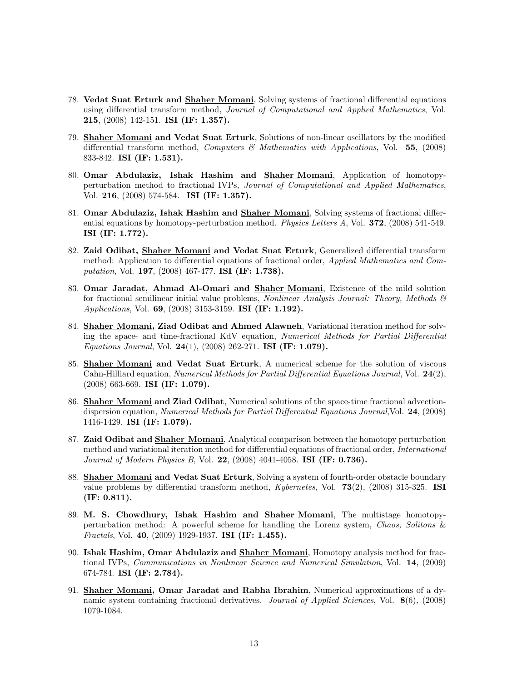- 78. Vedat Suat Erturk and Shaher Momani, Solving systems of fractional differential equations using differential transform method, Journal of Computational and Applied Mathematics, Vol. 215, (2008) 142-151. ISI (IF: 1.357).
- 79. Shaher Momani and Vedat Suat Erturk, Solutions of non-linear oscillators by the modified differential transform method, Computers  $\mathcal{C}$  Mathematics with Applications, Vol. 55, (2008) 833-842. ISI (IF: 1.531).
- 80. Omar Abdulaziz, Ishak Hashim and Shaher Momani, Application of homotopyperturbation method to fractional IVPs, Journal of Computational and Applied Mathematics, Vol. 216, (2008) 574-584. ISI (IF: 1.357).
- 81. Omar Abdulaziz, Ishak Hashim and Shaher Momani, Solving systems of fractional differential equations by homotopy-perturbation method. Physics Letters A, Vol. 372, (2008) 541-549. ISI (IF: 1.772).
- 82. Zaid Odibat, Shaher Momani and Vedat Suat Erturk, Generalized differential transform method: Application to differential equations of fractional order, Applied Mathematics and Computation, Vol. 197, (2008) 467-477. ISI (IF: 1.738).
- 83. Omar Jaradat, Ahmad Al-Omari and Shaher Momani, Existence of the mild solution for fractional semilinear initial value problems, *Nonlinear Analysis Journal: Theory, Methods*  $\mathcal{B}$ Applications, Vol. 69, (2008) 3153-3159. **ISI (IF: 1.192).**
- 84. Shaher Momani, Ziad Odibat and Ahmed Alawneh, Variational iteration method for solving the space- and time-fractional KdV equation, Numerical Methods for Partial Differential Equations Journal, Vol. 24(1), (2008) 262-271. ISI (IF:  $1.079$ ).
- 85. Shaher Momani and Vedat Suat Erturk, A numerical scheme for the solution of viscous Cahn-Hilliard equation, Numerical Methods for Partial Differential Equations Journal, Vol. 24(2), (2008) 663-669. ISI (IF: 1.079).
- 86. Shaher Momani and Ziad Odibat, Numerical solutions of the space-time fractional advectiondispersion equation, Numerical Methods for Partial Differential Equations Journal,Vol. 24, (2008) 1416-1429. ISI (IF: 1.079).
- 87. Zaid Odibat and Shaher Momani, Analytical comparison between the homotopy perturbation method and variational iteration method for differential equations of fractional order, International Journal of Modern Physics B, Vol. 22, (2008) 4041-4058. ISI (IF: 0.736).
- 88. Shaher Momani and Vedat Suat Erturk, Solving a system of fourth-order obstacle boundary value problems by differential transform method, Kybernetes, Vol. 73(2), (2008) 315-325. ISI (IF: 0.811).
- 89. M. S. Chowdhury, Ishak Hashim and Shaher Momani, The multistage homotopyperturbation method: A powerful scheme for handling the Lorenz system, Chaos, Solitons & Fractals, Vol. 40, (2009) 1929-1937. ISI (IF: 1.455).
- 90. Ishak Hashim, Omar Abdulaziz and Shaher Momani, Homotopy analysis method for fractional IVPs, Communications in Nonlinear Science and Numerical Simulation, Vol. 14, (2009) 674-784. ISI (IF: 2.784).
- 91. Shaher Momani, Omar Jaradat and Rabha Ibrahim, Numerical approximations of a dynamic system containing fractional derivatives. Journal of Applied Sciences, Vol. 8(6), (2008) 1079-1084.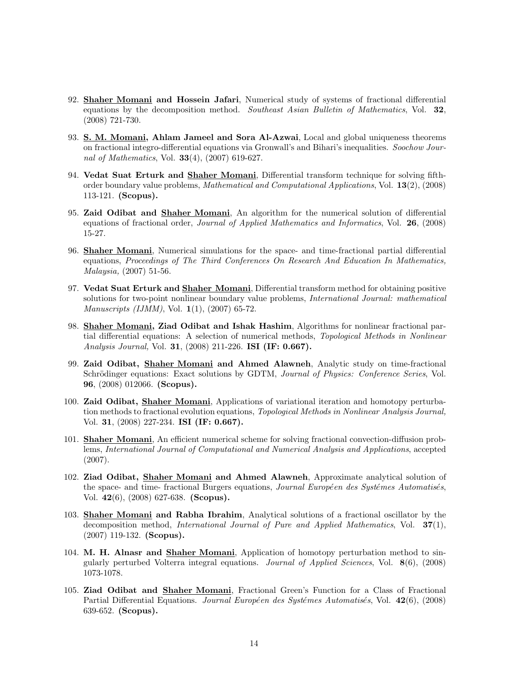- 92. Shaher Momani and Hossein Jafari, Numerical study of systems of fractional differential equations by the decomposition method. Southeast Asian Bulletin of Mathematics, Vol. 32, (2008) 721-730.
- 93. S. M. Momani, Ahlam Jameel and Sora Al-Azwai, Local and global uniqueness theorems on fractional integro-differential equations via Gronwall's and Bihari's inequalities. Soochow Journal of Mathematics, Vol. 33(4), (2007) 619-627.
- 94. Vedat Suat Erturk and Shaher Momani, Differential transform technique for solving fifthorder boundary value problems, Mathematical and Computational Applications, Vol. 13(2), (2008) 113-121. (Scopus).
- 95. Zaid Odibat and Shaher Momani, An algorithm for the numerical solution of differential equations of fractional order, Journal of Applied Mathematics and Informatics, Vol. 26, (2008) 15-27.
- 96. Shaher Momani, Numerical simulations for the space- and time-fractional partial differential equations, Proceedings of The Third Conferences On Research And Education In Mathematics, Malaysia, (2007) 51-56.
- 97. Vedat Suat Erturk and Shaher Momani, Differential transform method for obtaining positive solutions for two-point nonlinear boundary value problems, International Journal: mathematical Manuscripts (IJMM), Vol. 1(1), (2007) 65-72.
- 98. Shaher Momani, Ziad Odibat and Ishak Hashim, Algorithms for nonlinear fractional partial differential equations: A selection of numerical methods, Topological Methods in Nonlinear Analysis Journal, Vol. 31, (2008) 211-226. ISI (IF: 0.667).
- 99. Zaid Odibat, Shaher Momani and Ahmed Alawneh, Analytic study on time-fractional Schrödinger equations: Exact solutions by GDTM, Journal of Physics: Conference Series, Vol. 96, (2008) 012066. (Scopus).
- 100. Zaid Odibat, Shaher Momani, Applications of variational iteration and homotopy perturbation methods to fractional evolution equations, Topological Methods in Nonlinear Analysis Journal, Vol. 31, (2008) 227-234. ISI (IF: 0.667).
- 101. Shaher Momani, An efficient numerical scheme for solving fractional convection-diffusion problems, International Journal of Computational and Numerical Analysis and Applications, accepted (2007).
- 102. Ziad Odibat, Shaher Momani and Ahmed Alawneh, Approximate analytical solution of the space- and time- fractional Burgers equations, Journal Européen des Systémes Automatisés, Vol. 42(6), (2008) 627-638. (Scopus).
- 103. Shaher Momani and Rabha Ibrahim, Analytical solutions of a fractional oscillator by the decomposition method, International Journal of Pure and Applied Mathematics, Vol. 37(1), (2007) 119-132. (Scopus).
- 104. M. H. Alnasr and Shaher Momani, Application of homotopy perturbation method to singularly perturbed Volterra integral equations. Journal of Applied Sciences, Vol. 8(6), (2008) 1073-1078.
- 105. Ziad Odibat and Shaher Momani, Fractional Green's Function for a Class of Fractional Partial Differential Equations. Journal Européen des Systémes Automatisés, Vol. 42(6), (2008) 639-652. (Scopus).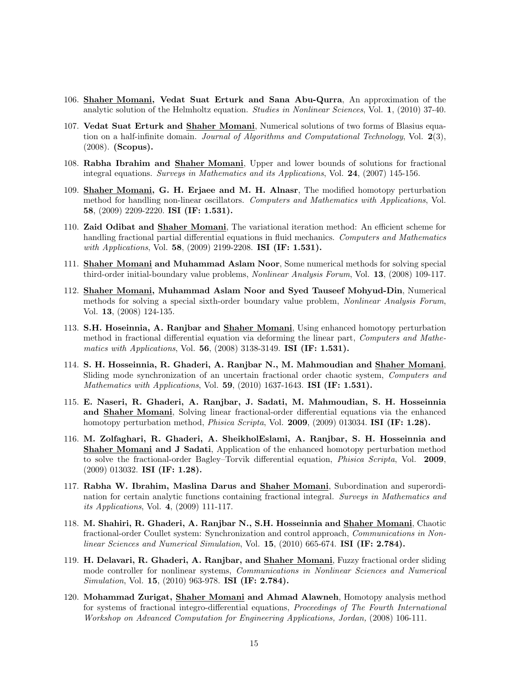- 106. Shaher Momani, Vedat Suat Erturk and Sana Abu-Qurra, An approximation of the analytic solution of the Helmholtz equation. Studies in Nonlinear Sciences, Vol. 1, (2010) 37-40.
- 107. Vedat Suat Erturk and Shaher Momani, Numerical solutions of two forms of Blasius equation on a half-infinite domain. Journal of Algorithms and Computational Technology, Vol.  $2(3)$ , (2008). (Scopus).
- 108. Rabha Ibrahim and Shaher Momani, Upper and lower bounds of solutions for fractional integral equations. Surveys in Mathematics and its Applications, Vol. 24, (2007) 145-156.
- 109. Shaher Momani, G. H. Erjaee and M. H. Alnasr, The modified homotopy perturbation method for handling non-linear oscillators. Computers and Mathematics with Applications, Vol. 58, (2009) 2209-2220. ISI (IF: 1.531).
- 110. Zaid Odibat and Shaher Momani, The variational iteration method: An efficient scheme for handling fractional partial differential equations in fluid mechanics. Computers and Mathematics with Applications, Vol. 58, (2009) 2199-2208. ISI (IF: 1.531).
- 111. Shaher Momani and Muhammad Aslam Noor, Some numerical methods for solving special third-order initial-boundary value problems, Nonlinear Analysis Forum, Vol. 13, (2008) 109-117.
- 112. Shaher Momani, Muhammad Aslam Noor and Syed Tauseef Mohyud-Din, Numerical methods for solving a special sixth-order boundary value problem, Nonlinear Analysis Forum, Vol. 13, (2008) 124-135.
- 113. S.H. Hoseinnia, A. Ranjbar and Shaher Momani, Using enhanced homotopy perturbation method in fractional differential equation via deforming the linear part, Computers and Mathematics with Applications, Vol. 56,  $(2008)$  3138-3149. ISI (IF: 1.531).
- 114. S. H. Hosseinnia, R. Ghaderi, A. Ranjbar N., M. Mahmoudian and Shaher Momani, Sliding mode synchronization of an uncertain fractional order chaotic system, Computers and Mathematics with Applications, Vol. 59, (2010) 1637-1643. ISI (IF: 1.531).
- 115. E. Naseri, R. Ghaderi, A. Ranjbar, J. Sadati, M. Mahmoudian, S. H. Hosseinnia and Shaher Momani, Solving linear fractional-order differential equations via the enhanced homotopy perturbation method, *Phisica Scripta*, Vol. 2009,  $(2009)$  013034. **ISI** (**IF: 1.28**).
- 116. M. Zolfaghari, R. Ghaderi, A. SheikholEslami, A. Ranjbar, S. H. Hosseinnia and Shaher Momani and J Sadati, Application of the enhanced homotopy perturbation method to solve the fractional-order Bagley–Torvik differential equation, Phisica Scripta, Vol. 2009, (2009) 013032. ISI (IF: 1.28).
- 117. Rabha W. Ibrahim, Maslina Darus and Shaher Momani, Subordination and superordination for certain analytic functions containing fractional integral. Surveys in Mathematics and its Applications, Vol. 4, (2009) 111-117.
- 118. M. Shahiri, R. Ghaderi, A. Ranjbar N., S.H. Hosseinnia and Shaher Momani, Chaotic fractional-order Coullet system: Synchronization and control approach, Communications in Nonlinear Sciences and Numerical Simulation, Vol. 15, (2010) 665-674. ISI (IF: 2.784).
- 119. H. Delavari, R. Ghaderi, A. Ranjbar, and Shaher Momani, Fuzzy fractional order sliding mode controller for nonlinear systems, Communications in Nonlinear Sciences and Numerical Simulation, Vol. 15, (2010) 963-978. ISI (IF: 2.784).
- 120. Mohammad Zurigat, Shaher Momani and Ahmad Alawneh, Homotopy analysis method for systems of fractional integro-differential equations, Proceedings of The Fourth International Workshop on Advanced Computation for Engineering Applications, Jordan, (2008) 106-111.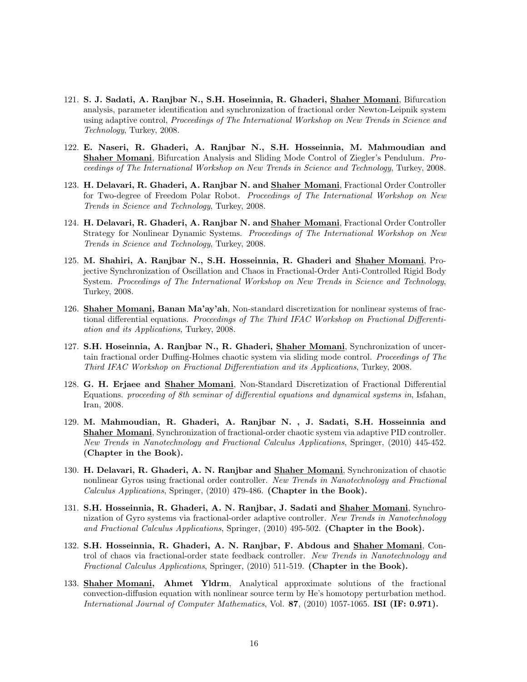- 121. S. J. Sadati, A. Ranjbar N., S.H. Hoseinnia, R. Ghaderi, Shaher Momani, Bifurcation analysis, parameter identification and synchronization of fractional order Newton-Leipnik system using adaptive control, Proceedings of The International Workshop on New Trends in Science and Technology, Turkey, 2008.
- 122. E. Naseri, R. Ghaderi, A. Ranjbar N., S.H. Hosseinnia, M. Mahmoudian and Shaher Momani, Bifurcation Analysis and Sliding Mode Control of Ziegler's Pendulum. Proceedings of The International Workshop on New Trends in Science and Technology, Turkey, 2008.
- 123. H. Delavari, R. Ghaderi, A. Ranjbar N. and Shaher Momani, Fractional Order Controller for Two-degree of Freedom Polar Robot. Proceedings of The International Workshop on New Trends in Science and Technology, Turkey, 2008.
- 124. H. Delavari, R. Ghaderi, A. Ranjbar N. and Shaher Momani, Fractional Order Controller Strategy for Nonlinear Dynamic Systems. Proceedings of The International Workshop on New Trends in Science and Technology, Turkey, 2008.
- 125. M. Shahiri, A. Ranjbar N., S.H. Hosseinnia, R. Ghaderi and Shaher Momani, Projective Synchronization of Oscillation and Chaos in Fractional-Order Anti-Controlled Rigid Body System. Proceedings of The International Workshop on New Trends in Science and Technology, Turkey, 2008.
- 126. Shaher Momani, Banan Ma'ay'ah, Non-standard discretization for nonlinear systems of fractional differential equations. Proceedings of The Third IFAC Workshop on Fractional Differentiation and its Applications, Turkey, 2008.
- 127. S.H. Hoseinnia, A. Ranjbar N., R. Ghaderi, Shaher Momani, Synchronization of uncertain fractional order Duffing-Holmes chaotic system via sliding mode control. Proceedings of The Third IFAC Workshop on Fractional Differentiation and its Applications, Turkey, 2008.
- 128. G. H. Erjaee and Shaher Momani, Non-Standard Discretization of Fractional Differential Equations. proceeding of 8th seminar of differential equations and dynamical systems in, Isfahan, Iran, 2008.
- 129. M. Mahmoudian, R. Ghaderi, A. Ranjbar N. , J. Sadati, S.H. Hosseinnia and Shaher Momani, Synchronization of fractional-order chaotic system via adaptive PID controller. New Trends in Nanotechnology and Fractional Calculus Applications, Springer, (2010) 445-452. (Chapter in the Book).
- 130. H. Delavari, R. Ghaderi, A. N. Ranjbar and Shaher Momani, Synchronization of chaotic nonlinear Gyros using fractional order controller. New Trends in Nanotechnology and Fractional Calculus Applications, Springer, (2010) 479-486. (Chapter in the Book).
- 131. S.H. Hosseinnia, R. Ghaderi, A. N. Ranjbar, J. Sadati and Shaher Momani, Synchronization of Gyro systems via fractional-order adaptive controller. New Trends in Nanotechnology and Fractional Calculus Applications, Springer, (2010) 495-502. (Chapter in the Book).
- 132. S.H. Hosseinnia, R. Ghaderi, A. N. Ranjbar, F. Abdous and Shaher Momani, Control of chaos via fractional-order state feedback controller. New Trends in Nanotechnology and Fractional Calculus Applications, Springer, (2010) 511-519. (Chapter in the Book).
- 133. Shaher Momani, Ahmet Yldrm, Analytical approximate solutions of the fractional convection-diffusion equation with nonlinear source term by He's homotopy perturbation method. International Journal of Computer Mathematics, Vol. 87,  $(2010)$  1057-1065. ISI (IF: 0.971).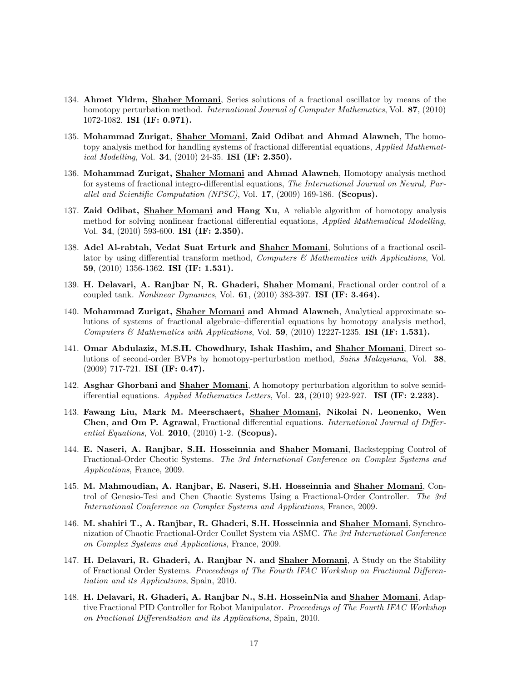- 134. Ahmet Yldrm, Shaher Momani, Series solutions of a fractional oscillator by means of the homotopy perturbation method. *International Journal of Computer Mathematics*, Vol. 87, (2010) 1072-1082. ISI (IF: 0.971).
- 135. Mohammad Zurigat, Shaher Momani, Zaid Odibat and Ahmad Alawneh, The homotopy analysis method for handling systems of fractional differential equations, Applied Mathematical Modelling, Vol. 34, (2010) 24-35. **ISI (IF: 2.350).**
- 136. Mohammad Zurigat, Shaher Momani and Ahmad Alawneh, Homotopy analysis method for systems of fractional integro-differential equations, The International Journal on Neural, Parallel and Scientific Computation (NPSC), Vol. 17, (2009) 169-186. (Scopus).
- 137. Zaid Odibat, Shaher Momani and Hang Xu, A reliable algorithm of homotopy analysis method for solving nonlinear fractional differential equations, Applied Mathematical Modelling, Vol. 34, (2010) 593-600. ISI (IF: 2.350).
- 138. Adel Al-rabtah, Vedat Suat Erturk and Shaher Momani, Solutions of a fractional oscillator by using differential transform method, Computers  $\mathcal{C}$  Mathematics with Applications, Vol. 59, (2010) 1356-1362. ISI (IF: 1.531).
- 139. H. Delavari, A. Ranjbar N, R. Ghaderi, Shaher Momani, Fractional order control of a coupled tank. Nonlinear Dynamics, Vol.  $61$ , (2010) 383-397. ISI (IF: 3.464).
- 140. Mohammad Zurigat, Shaher Momani and Ahmad Alawneh, Analytical approximate solutions of systems of fractional algebraic–differential equations by homotopy analysis method, Computers & Mathematics with Applications, Vol. 59,  $(2010)$  12227-1235. ISI (IF: 1.531).
- 141. Omar Abdulaziz, M.S.H. Chowdhury, Ishak Hashim, and Shaher Momani, Direct solutions of second-order BVPs by homotopy-perturbation method, Sains Malaysiana, Vol. 38, (2009) 717-721. ISI (IF: 0.47).
- 142. Asghar Ghorbani and Shaher Momani, A homotopy perturbation algorithm to solve semidifferential equations. Applied Mathematics Letters, Vol. 23,  $(2010)$  922-927. ISI (IF: 2.233).
- 143. Fawang Liu, Mark M. Meerschaert, Shaher Momani, Nikolai N. Leonenko, Wen Chen, and Om P. Agrawal, Fractional differential equations. International Journal of Differential Equations, Vol.  $2010$ ,  $(2010)$  1-2. (Scopus).
- 144. E. Naseri, A. Ranjbar, S.H. Hosseinnia and Shaher Momani, Backstepping Control of Fractional-Order Cheotic Systems. The 3rd International Conference on Complex Systems and Applications, France, 2009.
- 145. M. Mahmoudian, A. Ranjbar, E. Naseri, S.H. Hosseinnia and Shaher Momani, Control of Genesio-Tesi and Chen Chaotic Systems Using a Fractional-Order Controller. The 3rd International Conference on Complex Systems and Applications, France, 2009.
- 146. M. shahiri T., A. Ranjbar, R. Ghaderi, S.H. Hosseinnia and Shaher Momani, Synchronization of Chaotic Fractional-Order Coullet System via ASMC. The 3rd International Conference on Complex Systems and Applications, France, 2009.
- 147. H. Delavari, R. Ghaderi, A. Ranjbar N. and Shaher Momani, A Study on the Stability of Fractional Order Systems. Proceedings of The Fourth IFAC Workshop on Fractional Differentiation and its Applications, Spain, 2010.
- 148. H. Delavari, R. Ghaderi, A. Ranjbar N., S.H. HosseinNia and Shaher Momani, Adaptive Fractional PID Controller for Robot Manipulator. Proceedings of The Fourth IFAC Workshop on Fractional Differentiation and its Applications, Spain, 2010.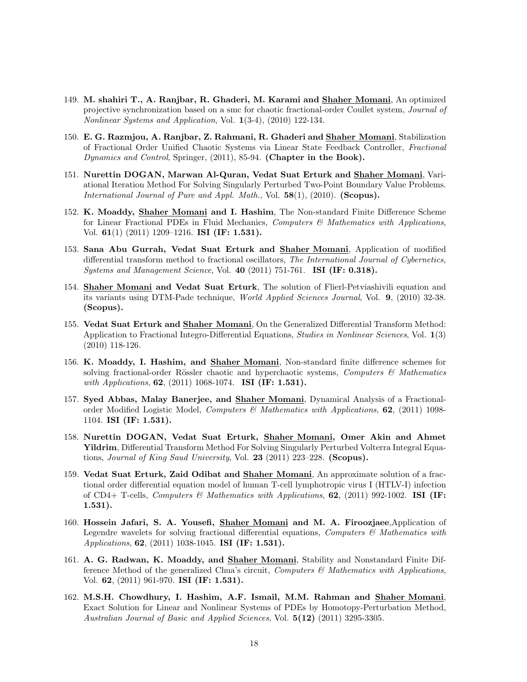- 149. M. shahiri T., A. Ranjbar, R. Ghaderi, M. Karami and Shaher Momani, An optimized projective synchronization based on a smc for chaotic fractional-order Coullet system, Journal of Nonlinear Systems and Application, Vol. 1(3-4), (2010) 122-134.
- 150. E. G. Razmjou, A. Ranjbar, Z. Rahmani, R. Ghaderi and Shaher Momani, Stabilization of Fractional Order Unified Chaotic Systems via Linear State Feedback Controller, Fractional Dynamics and Control, Springer, (2011), 85-94. (Chapter in the Book).
- 151. Nurettin DOGAN, Marwan Al-Quran, Vedat Suat Erturk and Shaher Momani, Variational Iteration Method For Solving Singularly Perturbed Two-Point Boundary Value Problems. International Journal of Pure and Appl. Math., Vol. 58(1), (2010). (Scopus).
- 152. K. Moaddy, Shaher Momani and I. Hashim, The Non-standard Finite Difference Scheme for Linear Fractional PDEs in Fluid Mechanics, Computers  $\mathcal{C}_{\mathcal{C}}$  Mathematics with Applications, Vol. 61(1) (2011) 1209–1216. ISI (IF: 1.531).
- 153. Sana Abu Gurrah, Vedat Suat Erturk and Shaher Momani, Application of modified differential transform method to fractional oscillators, The International Journal of Cybernetics, Systems and Management Science, Vol. 40 (2011) 751-761. ISI (IF: 0.318).
- 154. Shaher Momani and Vedat Suat Erturk, The solution of Flierl-Petviashivili equation and its variants using DTM-Pade technique, World Applied Sciences Journal, Vol. 9, (2010) 32-38. (Scopus).
- 155. Vedat Suat Erturk and Shaher Momani, On the Generalized Differential Transform Method: Application to Fractional Integro-Differential Equations, Studies in Nonlinear Sciences, Vol. 1(3) (2010) 118-126.
- 156. K. Moaddy, I. Hashim, and Shaher Momani, Non-standard finite difference schemes for solving fractional-order Rössler chaotic and hyperchaotic systems, Computers  $\mathcal{C}$  Mathematics with Applications,  $62$ ,  $(2011)$  1068-1074. **ISI** (**IF: 1.531**).
- 157. Syed Abbas, Malay Banerjee, and Shaher Momani, Dynamical Analysis of a Fractionalorder Modified Logistic Model, Computers & Mathematics with Applications,  $62$ , (2011) 1098-1104. ISI (IF: 1.531).
- 158. Nurettin DOGAN, Vedat Suat Erturk, Shaher Momani, Omer Akin and Ahmet Yildrim, Differential Transform Method For Solving Singularly Perturbed Volterra Integral Equations, Journal of King Saud University, Vol. 23 (2011) 223–228. (Scopus).
- 159. Vedat Suat Erturk, Zaid Odibat and Shaher Momani, An approximate solution of a fractional order differential equation model of human T-cell lymphotropic virus I (HTLV-I) infection of CD4+ T-cells, Computers & Mathematics with Applications,  $62$ , (2011) 992-1002. ISI (IF: 1.531).
- 160. Hossein Jafari, S. A. Yousefi, Shaher Momani and M. A. Firoozjaee,Application of Legendre wavelets for solving fractional differential equations, Computers  $\mathcal C$  Mathematics with Applications, **62**, (2011) 1038-1045. **ISI** (**IF: 1.531**).
- 161. A. G. Radwan, K. Moaddy, and Shaher Momani, Stability and Nonstandard Finite Difference Method of the generalized Chua's circuit, *Computers*  $\mathscr{C}$  Mathematics with Applications, Vol. 62, (2011) 961-970. ISI (IF: 1.531).
- 162. M.S.H. Chowdhury, I. Hashim, A.F. Ismail, M.M. Rahman and Shaher Momani, Exact Solution for Linear and Nonlinear Systems of PDEs by Homotopy-Perturbation Method, Australian Journal of Basic and Applied Sciences, Vol.  $5(12)$  (2011) 3295-3305.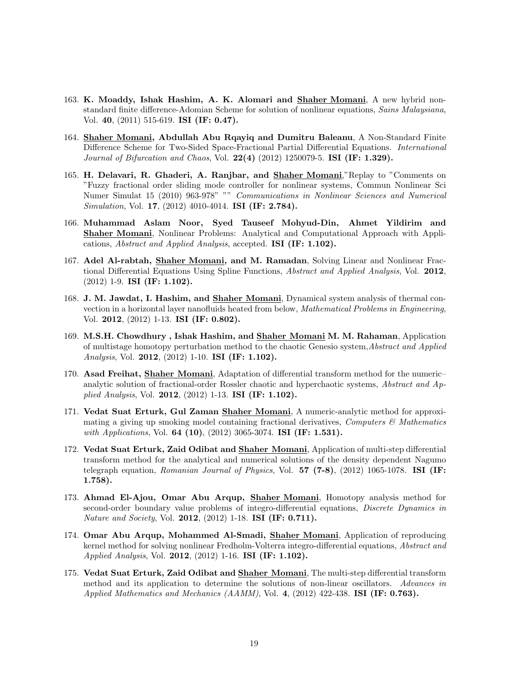- 163. K. Moaddy, Ishak Hashim, A. K. Alomari and Shaher Momani, A new hybrid nonstandard finite difference-Adomian Scheme for solution of nonlinear equations, Sains Malaysiana, Vol. 40, (2011) 515-619. ISI (IF: 0.47).
- 164. Shaher Momani, Abdullah Abu Rqayiq and Dumitru Baleanu, A Non-Standard Finite Difference Scheme for Two-Sided Space-Fractional Partial Differential Equations. International Journal of Bifurcation and Chaos, Vol. 22(4) (2012) 1250079-5. **ISI (IF: 1.329).**
- 165. H. Delavari, R. Ghaderi, A. Ranjbar, and Shaher Momani,"Replay to "Comments on "Fuzzy fractional order sliding mode controller for nonlinear systems, Commun Nonlinear Sci Numer Simulat 15 (2010) 963-978" "" Communications in Nonlinear Sciences and Numerical Simulation, Vol. 17, (2012) 4010-4014. ISI (IF: 2.784).
- 166. Muhammad Aslam Noor, Syed Tauseef Mohyud-Din, Ahmet Yildirim and Shaher Momani, Nonlinear Problems: Analytical and Computational Approach with Applications, Abstract and Applied Analysis, accepted. ISI (IF: 1.102).
- 167. Adel Al-rabtah, Shaher Momani, and M. Ramadan, Solving Linear and Nonlinear Fractional Differential Equations Using Spline Functions, Abstract and Applied Analysis, Vol. 2012, (2012) 1-9. ISI (IF: 1.102).
- 168. J. M. Jawdat, I. Hashim, and Shaher Momani, Dynamical system analysis of thermal convection in a horizontal layer nanofluids heated from below, Mathematical Problems in Engineering, Vol. 2012, (2012) 1-13. ISI (IF: 0.802).
- 169. M.S.H. Chowdhury , Ishak Hashim, and Shaher Momani M. M. Rahaman, Application of multistage homotopy perturbation method to the chaotic Genesio system,Abstract and Applied Analysis, Vol. 2012, (2012) 1-10. ISI (IF: 1.102).
- 170. Asad Freihat, Shaher Momani, Adaptation of differential transform method for the numericanalytic solution of fractional-order Rossler chaotic and hyperchaotic systems, Abstract and Applied Analysis, Vol. 2012, (2012) 1-13. ISI (IF: 1.102).
- 171. Vedat Suat Erturk, Gul Zaman Shaher Momani, A numeric-analytic method for approximating a giving up smoking model containing fractional derivatives, Computers  $\mathcal{C}$  Mathematics with Applications, Vol. 64 (10), (2012) 3065-3074. ISI (IF: 1.531).
- 172. Vedat Suat Erturk, Zaid Odibat and Shaher Momani, Application of multi-step differential transform method for the analytical and numerical solutions of the density dependent Nagumo telegraph equation, Romanian Journal of Physics, Vol.  $57$  (7-8), (2012) 1065-1078. ISI (IF: 1.758).
- 173. Ahmad El-Ajou, Omar Abu Arqup, Shaher Momani, Homotopy analysis method for second-order boundary value problems of integro-differential equations, *Discrete Dynamics in* Nature and Society, Vol. 2012, (2012) 1-18. **ISI (IF: 0.711).**
- 174. Omar Abu Arqup, Mohammed Al-Smadi, Shaher Momani, Application of reproducing kernel method for solving nonlinear Fredholm-Volterra integro-differential equations, Abstract and Applied Analysis, Vol. 2012, (2012) 1-16. ISI (IF: 1.102).
- 175. Vedat Suat Erturk, Zaid Odibat and Shaher Momani, The multi-step differential transform method and its application to determine the solutions of non-linear oscillators. Advances in Applied Mathematics and Mechanics  $(AAMM)$ , Vol. 4,  $(2012)$  422-438. ISI (IF: 0.763).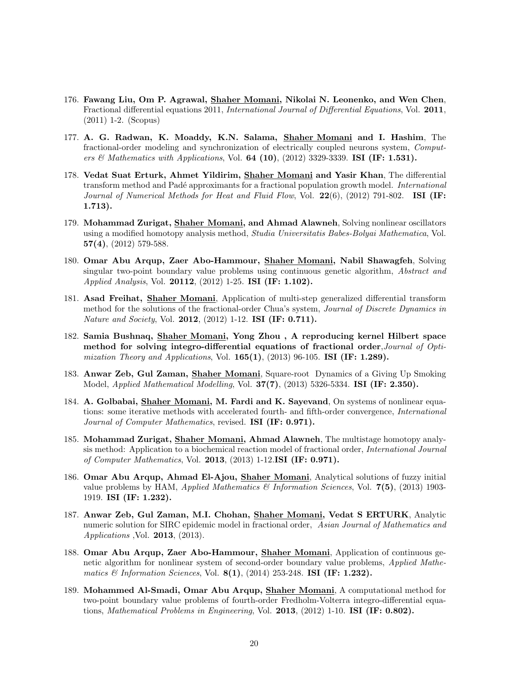- 176. Fawang Liu, Om P. Agrawal, Shaher Momani, Nikolai N. Leonenko, and Wen Chen, Fractional differential equations 2011, International Journal of Differential Equations, Vol. 2011, (2011) 1-2. (Scopus)
- 177. A. G. Radwan, K. Moaddy, K.N. Salama, Shaher Momani and I. Hashim, The fractional-order modeling and synchronization of electrically coupled neurons system, Computers  $\mathscr B$  Mathematics with Applications, Vol. 64 (10), (2012) 3329-3339. ISI (IF: 1.531).
- 178. Vedat Suat Erturk, Ahmet Yildirim, Shaher Momani and Yasir Khan, The differential transform method and Padé approximants for a fractional population growth model. International Journal of Numerical Methods for Heat and Fluid Flow, Vol.  $22(6)$ ,  $(2012)$  791-802. **ISI** (IF: 1.713).
- 179. Mohammad Zurigat, Shaher Momani, and Ahmad Alawneh, Solving nonlinear oscillators using a modified homotopy analysis method, Studia Universitatis Babes-Bolyai Mathematica, Vol. 57(4), (2012) 579-588.
- 180. Omar Abu Arqup, Zaer Abo-Hammour, Shaher Momani, Nabil Shawagfeh, Solving singular two-point boundary value problems using continuous genetic algorithm, Abstract and Applied Analysis, Vol. 20112, (2012) 1-25. **ISI (IF: 1.102).**
- 181. Asad Freihat, Shaher Momani, Application of multi-step generalized differential transform method for the solutions of the fractional-order Chua's system, Journal of Discrete Dynamics in Nature and Society, Vol. 2012, (2012) 1-12. **ISI (IF: 0.711).**
- 182. Samia Bushnaq, Shaher Momani, Yong Zhou , A reproducing kernel Hilbert space method for solving integro-differential equations of fractional order, Journal of Optimization Theory and Applications, Vol.  $165(1)$ , (2013) 96-105. ISI (IF: 1.289).
- 183. Anwar Zeb, Gul Zaman, Shaher Momani, Square-root Dynamics of a Giving Up Smoking Model, Applied Mathematical Modelling, Vol. 37(7), (2013) 5326-5334. ISI (IF: 2.350).
- 184. A. Golbabai, Shaher Momani, M. Fardi and K. Sayevand, On systems of nonlinear equations: some iterative methods with accelerated fourth- and fifth-order convergence, International Journal of Computer Mathematics, revised. **ISI** (IF: 0.971).
- 185. Mohammad Zurigat, Shaher Momani, Ahmad Alawneh, The multistage homotopy analysis method: Application to a biochemical reaction model of fractional order, International Journal of Computer Mathematics, Vol. 2013, (2013) 1-12.ISI (IF: 0.971).
- 186. Omar Abu Arqup, Ahmad El-Ajou, Shaher Momani, Analytical solutions of fuzzy initial value problems by HAM, *Applied Mathematics*  $\mathcal{C}$  *Information Sciences*, Vol. **7(5)**, (2013) 1903-1919. ISI (IF: 1.232).
- 187. Anwar Zeb, Gul Zaman, M.I. Chohan, Shaher Momani, Vedat S ERTURK, Analytic numeric solution for SIRC epidemic model in fractional order, Asian Journal of Mathematics and Applications ,Vol. 2013, (2013).
- 188. Omar Abu Arqup, Zaer Abo-Hammour, Shaher Momani, Application of continuous genetic algorithm for nonlinear system of second-order boundary value problems, Applied Mathematics  $\mathscr$  Information Sciences, Vol. 8(1), (2014) 253-248. ISI (IF: 1.232).
- 189. Mohammed Al-Smadi, Omar Abu Arqup, Shaher Momani, A computational method for two-point boundary value problems of fourth-order Fredholm-Volterra integro-differential equations, *Mathematical Problems in Engineering*, Vol.  $2013$ ,  $(2012)$  1-10. **ISI (IF: 0.802).**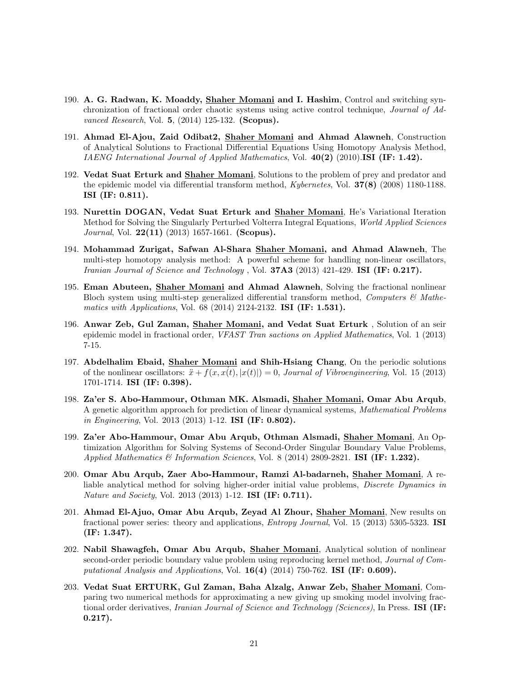- 190. A. G. Radwan, K. Moaddy, Shaher Momani and I. Hashim, Control and switching synchronization of fractional order chaotic systems using active control technique, Journal of Advanced Research, Vol. 5, (2014) 125-132. (Scopus).
- 191. Ahmad El-Ajou, Zaid Odibat2, Shaher Momani and Ahmad Alawneh, Construction of Analytical Solutions to Fractional Differential Equations Using Homotopy Analysis Method, IAENG International Journal of Applied Mathematics, Vol. 40(2) (2010).ISI (IF: 1.42).
- 192. Vedat Suat Erturk and Shaher Momani, Solutions to the problem of prey and predator and the epidemic model via differential transform method, Kybernetes, Vol. 37(8) (2008) 1180-1188. ISI (IF: 0.811).
- 193. Nurettin DOGAN, Vedat Suat Erturk and Shaher Momani, He's Variational Iteration Method for Solving the Singularly Perturbed Volterra Integral Equations, World Applied Sciences Journal, Vol. 22(11) (2013) 1657-1661. (Scopus).
- 194. Mohammad Zurigat, Safwan Al-Shara Shaher Momani, and Ahmad Alawneh, The multi-step homotopy analysis method: A powerful scheme for handling non-linear oscillators, Iranian Journal of Science and Technology, Vol. 37A3 (2013) 421-429. ISI (IF:  $0.217$ ).
- 195. Eman Abuteen, Shaher Momani and Ahmad Alawneh, Solving the fractional nonlinear Bloch system using multi-step generalized differential transform method, Computers  $\mathcal{C}$  Mathematics with Applications, Vol. 68 (2014) 2124-2132. **ISI (IF: 1.531).**
- 196. Anwar Zeb, Gul Zaman, Shaher Momani, and Vedat Suat Erturk , Solution of an seir epidemic model in fractional order, VFAST Tran sactions on Applied Mathematics, Vol. 1 (2013) 7-15.
- 197. Abdelhalim Ebaid, Shaher Momani and Shih-Hsiang Chang, On the periodic solutions of the nonlinear oscillators:  $\ddot{x} + f(x, x(t), |x(t)|) = 0$ , Journal of Vibroengineering, Vol. 15 (2013) 1701-1714. ISI (IF: 0.398).
- 198. Za'er S. Abo-Hammour, Othman MK. Alsmadi, Shaher Momani, Omar Abu Arqub, A genetic algorithm approach for prediction of linear dynamical systems, Mathematical Problems in Engineering, Vol. 2013 (2013) 1-12. **ISI (IF: 0.802).**
- 199. Za'er Abo-Hammour, Omar Abu Arqub, Othman Alsmadi, Shaher Momani, An Optimization Algorithm for Solving Systems of Second-Order Singular Boundary Value Problems, Applied Mathematics & Information Sciences, Vol. 8 (2014) 2809-2821. ISI (IF: 1.232).
- 200. Omar Abu Arqub, Zaer Abo-Hammour, Ramzi Al-badarneh, Shaher Momani, A reliable analytical method for solving higher-order initial value problems, Discrete Dynamics in Nature and Society, Vol. 2013 (2013) 1-12. **ISI (IF: 0.711).**
- 201. Ahmad El-Ajuo, Omar Abu Arqub, Zeyad Al Zhour, Shaher Momani, New results on fractional power series: theory and applications, Entropy Journal, Vol. 15 (2013) 5305-5323. ISI (IF: 1.347).
- 202. Nabil Shawagfeh, Omar Abu Arqub, Shaher Momani, Analytical solution of nonlinear second-order periodic boundary value problem using reproducing kernel method, Journal of Computational Analysis and Applications, Vol.  $16(4)$  (2014) 750-762. **ISI** (**IF: 0.609**).
- 203. Vedat Suat ERTURK, Gul Zaman, Baha Alzalg, Anwar Zeb, Shaher Momani, Comparing two numerical methods for approximating a new giving up smoking model involving fractional order derivatives, Iranian Journal of Science and Technology (Sciences), In Press. ISI (IF: 0.217).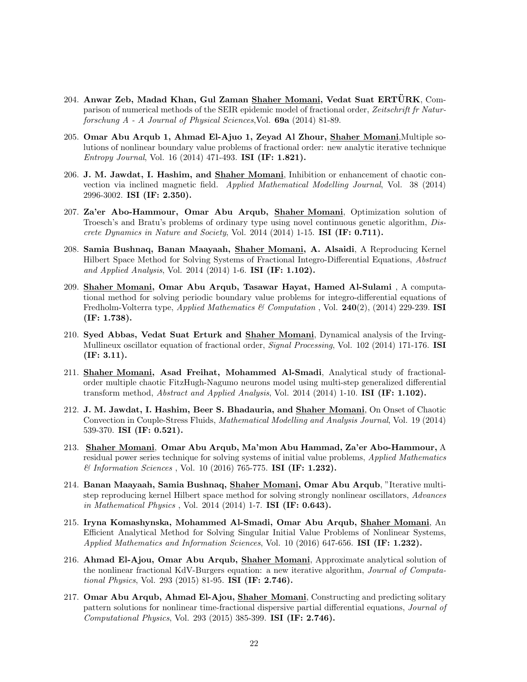- 204. Anwar Zeb, Madad Khan, Gul Zaman Shaher Momani, Vedat Suat ERTÜRK, Comparison of numerical methods of the SEIR epidemic model of fractional order, Zeitschrift fr Naturforschung A - A Journal of Physical Sciences,Vol. 69a (2014) 81-89.
- 205. Omar Abu Arqub 1, Ahmad El-Ajuo 1, Zeyad Al Zhour, Shaher Momani,Multiple solutions of nonlinear boundary value problems of fractional order: new analytic iterative technique Entropy Journal, Vol. 16 (2014) 471-493. ISI (IF: 1.821).
- 206. J. M. Jawdat, I. Hashim, and Shaher Momani, Inhibition or enhancement of chaotic convection via inclined magnetic field. Applied Mathematical Modelling Journal, Vol. 38 (2014) 2996-3002. ISI (IF: 2.350).
- 207. Za'er Abo-Hammour, Omar Abu Arqub, Shaher Momani, Optimization solution of Troesch's and Bratu's problems of ordinary type using novel continuous genetic algorithm, Discrete Dynamics in Nature and Society, Vol. 2014 (2014) 1-15. **ISI (IF: 0.711).**
- 208. Samia Bushnaq, Banan Maayaah, Shaher Momani, A. Alsaidi, A Reproducing Kernel Hilbert Space Method for Solving Systems of Fractional Integro-Differential Equations, Abstract and Applied Analysis, Vol. 2014 (2014) 1-6. ISI (IF: 1.102).
- 209. Shaher Momani, Omar Abu Arqub, Tasawar Hayat, Hamed Al-Sulami , A computational method for solving periodic boundary value problems for integro-differential equations of Fredholm-Volterra type, *Applied Mathematics*  $\mathscr{C}$  Computation, Vol. **240**(2), (2014) 229-239. **ISI** (IF: 1.738).
- 210. Syed Abbas, Vedat Suat Erturk and Shaher Momani, Dynamical analysis of the Irving-Mullineux oscillator equation of fractional order, *Signal Processing*, Vol. 102 (2014) 171-176. **ISI**  $(IF: 3.11).$
- 211. Shaher Momani, Asad Freihat, Mohammed Al-Smadi, Analytical study of fractionalorder multiple chaotic FitzHugh-Nagumo neurons model using multi-step generalized differential transform method, Abstract and Applied Analysis, Vol. 2014 (2014) 1-10. ISI (IF: 1.102).
- 212. J. M. Jawdat, I. Hashim, Beer S. Bhadauria, and Shaher Momani, On Onset of Chaotic Convection in Couple-Stress Fluids, Mathematical Modelling and Analysis Journal, Vol. 19 (2014) 539-370. ISI (IF: 0.521).
- 213. Shaher Momani, Omar Abu Arqub, Ma'mon Abu Hammad, Za'er Abo-Hammour, A residual power series technique for solving systems of initial value problems, Applied Mathematics & Information Sciences , Vol. 10 (2016) 765-775. ISI (IF: 1.232).
- 214. Banan Maayaah, Samia Bushnaq, Shaher Momani, Omar Abu Arqub, "Iterative multistep reproducing kernel Hilbert space method for solving strongly nonlinear oscillators, Advances in Mathematical Physics , Vol. 2014 (2014) 1-7. **ISI (IF: 0.643).**
- 215. Iryna Komashynska, Mohammed Al-Smadi, Omar Abu Arqub, Shaher Momani, An Efficient Analytical Method for Solving Singular Initial Value Problems of Nonlinear Systems, Applied Mathematics and Information Sciences, Vol. 10 (2016) 647-656. **ISI (IF: 1.232).**
- 216. Ahmad El-Ajou, Omar Abu Arqub, Shaher Momani, Approximate analytical solution of the nonlinear fractional KdV-Burgers equation: a new iterative algorithm, Journal of Computational Physics, Vol. 293 (2015) 81-95. ISI (IF: 2.746).
- 217. Omar Abu Arqub, Ahmad El-Ajou, Shaher Momani, Constructing and predicting solitary pattern solutions for nonlinear time-fractional dispersive partial differential equations, Journal of Computational Physics, Vol. 293 (2015) 385-399. ISI (IF: 2.746).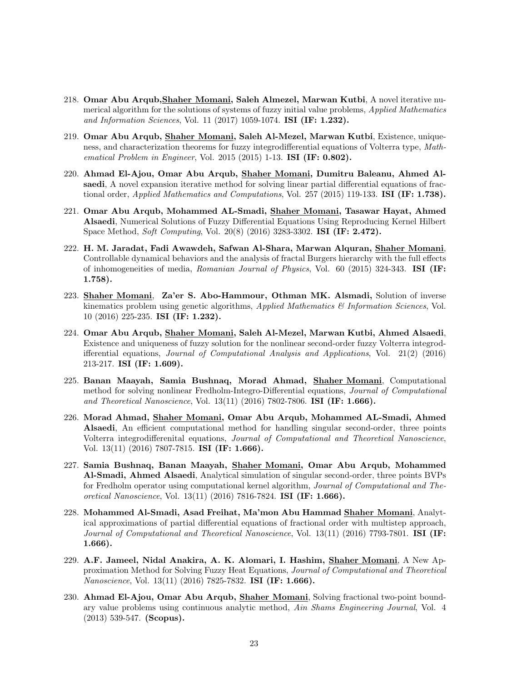- 218. Omar Abu Arqub,Shaher Momani, Saleh Almezel, Marwan Kutbi, A novel iterative numerical algorithm for the solutions of systems of fuzzy initial value problems, Applied Mathematics and Information Sciences, Vol. 11 (2017) 1059-1074. **ISI (IF: 1.232).**
- 219. Omar Abu Arqub, Shaher Momani, Saleh Al-Mezel, Marwan Kutbi, Existence, uniqueness, and characterization theorems for fuzzy integrodifferential equations of Volterra type, Mathematical Problem in Engineer, Vol. 2015 (2015) 1-13. **ISI (IF: 0.802).**
- 220. Ahmad El-Ajou, Omar Abu Arqub, Shaher Momani, Dumitru Baleanu, Ahmed Alsaedi, A novel expansion iterative method for solving linear partial differential equations of fractional order, *Applied Mathematics and Computations*, Vol. 257 (2015) 119-133. **ISI (IF: 1.738).**
- 221. Omar Abu Arqub, Mohammed AL-Smadi, Shaher Momani, Tasawar Hayat, Ahmed Alsaedi, Numerical Solutions of Fuzzy Differential Equations Using Reproducing Kernel Hilbert Space Method, Soft Computing, Vol. 20(8) (2016) 3283-3302. ISI (IF: 2.472).
- 222. H. M. Jaradat, Fadi Awawdeh, Safwan Al-Shara, Marwan Alquran, Shaher Momani, Controllable dynamical behaviors and the analysis of fractal Burgers hierarchy with the full effects of inhomogeneities of media, Romanian Journal of Physics, Vol. 60 (2015) 324-343. ISI (IF: 1.758).
- 223. Shaher Momani, Za'er S. Abo-Hammour, Othman MK. Alsmadi, Solution of inverse kinematics problem using genetic algorithms, Applied Mathematics  $\mathcal{B}$  Information Sciences, Vol. 10 (2016) 225-235. ISI (IF: 1.232).
- 224. Omar Abu Arqub, Shaher Momani, Saleh Al-Mezel, Marwan Kutbi, Ahmed Alsaedi, Existence and uniqueness of fuzzy solution for the nonlinear second-order fuzzy Volterra integrodifferential equations, Journal of Computational Analysis and Applications, Vol. 21(2) (2016) 213-217. ISI (IF: 1.609).
- 225. Banan Maayah, Samia Bushnaq, Morad Ahmad, Shaher Momani, Computational method for solving nonlinear Fredholm-Integro-Differential equations, Journal of Computational and Theoretical Nanoscience, Vol. 13(11) (2016) 7802-7806. ISI (IF: 1.666).
- 226. Morad Ahmad, Shaher Momani, Omar Abu Arqub, Mohammed AL-Smadi, Ahmed Alsaedi, An efficient computational method for handling singular second-order, three points Volterra integrodifferenital equations, Journal of Computational and Theoretical Nanoscience, Vol. 13(11) (2016) 7807-7815. ISI (IF: 1.666).
- 227. Samia Bushnaq, Banan Maayah, Shaher Momani, Omar Abu Arqub, Mohammed Al-Smadi, Ahmed Alsaedi, Analytical simulation of singular second-order, three points BVPs for Fredholm operator using computational kernel algorithm, Journal of Computational and Theoretical Nanoscience, Vol. 13(11) (2016) 7816-7824. ISI (IF: 1.666).
- 228. Mohammed Al-Smadi, Asad Freihat, Ma'mon Abu Hammad Shaher Momani, Analytical approximations of partial differential equations of fractional order with multistep approach, Journal of Computational and Theoretical Nanoscience, Vol.  $13(11)$  (2016) 7793-7801. **ISI (IF:** 1.666).
- 229. A.F. Jameel, Nidal Anakira, A. K. Alomari, I. Hashim, Shaher Momani, A New Approximation Method for Solving Fuzzy Heat Equations, Journal of Computational and Theoretical Nanoscience, Vol. 13(11) (2016) 7825-7832. ISI (IF: 1.666).
- 230. Ahmad El-Ajou, Omar Abu Arqub, Shaher Momani, Solving fractional two-point boundary value problems using continuous analytic method, Ain Shams Engineering Journal, Vol. 4 (2013) 539-547. (Scopus).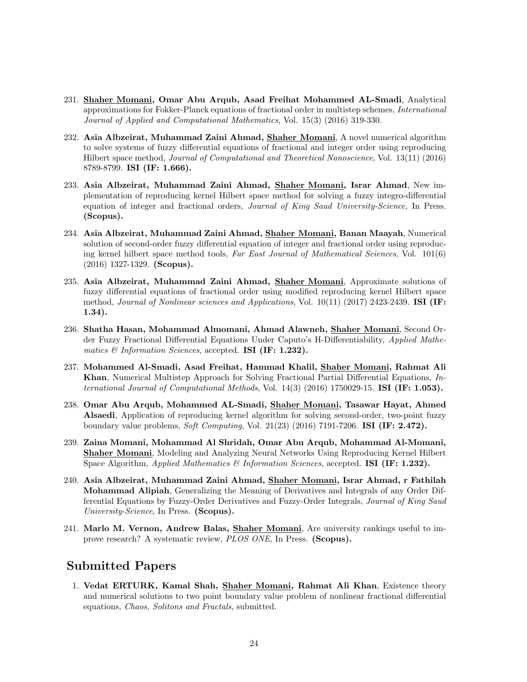- 231. Shaher Momani, Omar Abu Arqub, Asad Freihat Mohammed AL-Smadi, Analytical approximations for Fokker-Planck equations of fractional order in multistep schemes, International Journal of Applied and Computational Mathematics, Vol. 15(3) (2016) 319-330.
- 232. Asia Albzeirat, Muhammad Zaini Ahmad, Shaher Momani, A novel numerical algorithm to solve systems of fuzzy differential equations of fractional and integer order using reproducing Hilbert space method, Journal of Computational and Theoretical Nanoscience, Vol. 13(11) (2016) 8789-8799. ISI (IF: 1.666).
- 233. Asia Albzeirat, Muhammad Zaini Ahmad, Shaher Momani, Israr Ahmad, New implementation of reproducing kernel Hilbert space method for solving a fuzzy integro-differential equation of integer and fractional orders, Journal of King Saud University-Science, In Press. (Scopus).
- 234. Asia Albzeirat, Muhammad Zaini Ahmad, Shaher Momani, Banan Maayah, Numerical solution of second-order fuzzy differential equation of integer and fractional order using reproducing kernel hilbert space method tools, Far East Journal of Mathematical Sciences, Vol. 101(6) (2016) 1327-1329. (Scopus).
- 235. Asia Albzeirat, Muhammad Zaini Ahmad, Shaher Momani, Approximate solutions of fuzzy differential equations of fractional order using modified reproducing kernel Hilbert space method, Journal of Nonlinear sciences and Applications, Vol.  $10(11)$  (2017) 2423-2439. **ISI** (**IF:** 1.34).
- 236. Shatha Hasan, Mohammad Almomani, Ahmad Alawneh, Shaher Momani, Second Order Fuzzy Fractional Differential Equations Under Caputo's H-Differentiability, Applied Mathematics & Information Sciences, accepted. ISI (IF: 1.232).
- 237. Mohammed Al-Smadi, Asad Freihat, Hammad Khalil, Shaher Momani, Rahmat Ali Khan, Numerical Multistep Approach for Solving Fractional Partial Differential Equations, International Journal of Computational Methods, Vol.  $14(3)$  (2016) 1750029-15. **ISI (IF: 1.053).**
- 238. Omar Abu Arqub, Mohammed AL-Smadi, Shaher Momani, Tasawar Hayat, Ahmed Alsaedi, Application of reproducing kernel algorithm for solving second-order, two-point fuzzy boundary value problems, Soft Computing, Vol. 21(23) (2016) 7191-7206. ISI (IF: 2.472).
- 239. Zaina Momani, Mohammad Al Shridah, Omar Abu Arqub, Mohammad Al-Momani, Shaher Momani, Modeling and Analyzing Neural Networks Using Reproducing Kernel Hilbert Space Algorithm, *Applied Mathematics*  $\mathcal{B}$  Information Sciences, accepted. **ISI** (IF: 1.232).
- 240. Asia Albzeirat, Muhammad Zaini Ahmad, Shaher Momani, Israr Ahmad, r Fathilah Mohammad Alipiah, Generalizing the Meaning of Derivatives and Integrals of any Order Differential Equations by Fuzzy-Order Derivatives and Fuzzy-Order Integrals, Journal of King Saud University-Science, In Press. (Scopus).
- 241. Marlo M. Vernon, Andrew Balas, Shaher Momani, Are university rankings useful to improve research? A systematic review, PLOS ONE, In Press. (Scopus).

## Submitted Papers

1. Vedat ERTURK, Kamal Shah, Shaher Momani, Rahmat Ali Khan, Existence theory and numerical solutions to two point boundary value problem of nonlinear fractional differential equations, Chaos, Solitons and Fractals, submitted.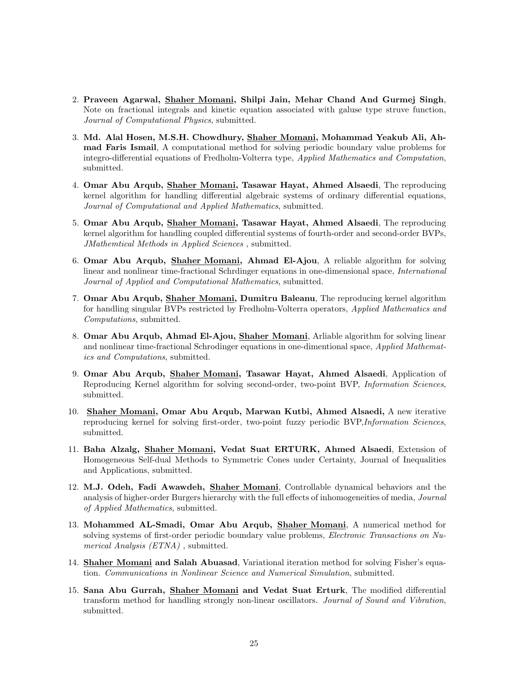- 2. Praveen Agarwal, Shaher Momani, Shilpi Jain, Mehar Chand And Gurmej Singh, Note on fractional integrals and kinetic equation associated with galuse type struve function, Journal of Computational Physics, submitted.
- 3. Md. Alal Hosen, M.S.H. Chowdhury, Shaher Momani, Mohammad Yeakub Ali, Ahmad Faris Ismail, A computational method for solving periodic boundary value problems for integro-differential equations of Fredholm-Volterra type, Applied Mathematics and Computation, submitted.
- 4. Omar Abu Arqub, Shaher Momani, Tasawar Hayat, Ahmed Alsaedi, The reproducing kernel algorithm for handling differential algebraic systems of ordinary differential equations, Journal of Computational and Applied Mathematics, submitted.
- 5. Omar Abu Arqub, Shaher Momani, Tasawar Hayat, Ahmed Alsaedi, The reproducing kernel algorithm for handling coupled differential systems of fourth-order and second-order BVPs, JMathemtical Methods in Applied Sciences , submitted.
- 6. Omar Abu Arqub, Shaher Momani, Ahmad El-Ajou, A reliable algorithm for solving linear and nonlinear time-fractional Schrdinger equations in one-dimensional space, International Journal of Applied and Computational Mathematics, submitted.
- 7. Omar Abu Arqub, Shaher Momani, Dumitru Baleanu, The reproducing kernel algorithm for handling singular BVPs restricted by Fredholm-Volterra operators, Applied Mathematics and Computations, submitted.
- 8. Omar Abu Arqub, Ahmad El-Ajou, Shaher Momani, Arliable algorithm for solving linear and nonlinear time-fractional Schrodinger equations in one-dimentional space, Applied Mathematics and Computations, submitted.
- 9. Omar Abu Arqub, Shaher Momani, Tasawar Hayat, Ahmed Alsaedi, Application of Reproducing Kernel algorithm for solving second-order, two-point BVP, Information Sciences, submitted.
- 10. Shaher Momani, Omar Abu Arqub, Marwan Kutbi, Ahmed Alsaedi, A new iterative reproducing kernel for solving first-order, two-point fuzzy periodic BVP,Information Sciences, submitted.
- 11. Baha Alzalg, Shaher Momani, Vedat Suat ERTURK, Ahmed Alsaedi, Extension of Homogeneous Self-dual Methods to Symmetric Cones under Certainty, Journal of Inequalities and Applications, submitted.
- 12. M.J. Odeh, Fadi Awawdeh, Shaher Momani, Controllable dynamical behaviors and the analysis of higher-order Burgers hierarchy with the full effects of inhomogeneities of media, Journal of Applied Mathematics, submitted.
- 13. Mohammed AL-Smadi, Omar Abu Arqub, Shaher Momani, A numerical method for solving systems of first-order periodic boundary value problems, *Electronic Transactions on Nu*merical Analysis (ETNA) , submitted.
- 14. Shaher Momani and Salah Abuasad, Variational iteration method for solving Fisher's equation. Communications in Nonlinear Science and Numerical Simulation, submitted.
- 15. Sana Abu Gurrah, Shaher Momani and Vedat Suat Erturk, The modified differential transform method for handling strongly non-linear oscillators. Journal of Sound and Vibration, submitted.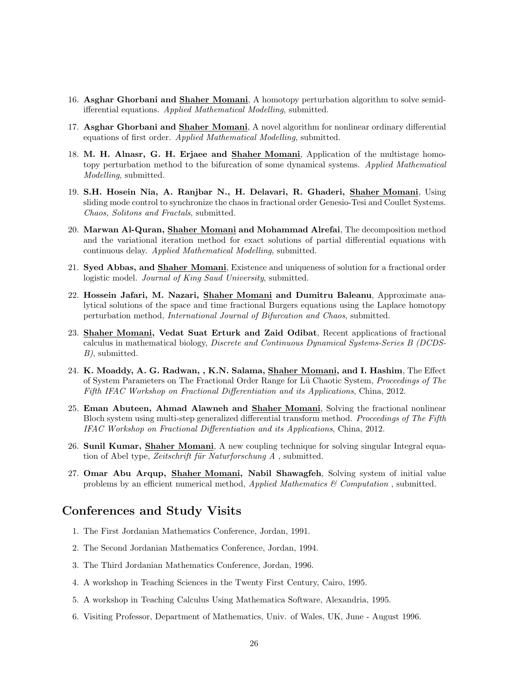- 16. Asghar Ghorbani and Shaher Momani, A homotopy perturbation algorithm to solve semidifferential equations. Applied Mathematical Modelling, submitted.
- 17. Asghar Ghorbani and Shaher Momani, A novel algorithm for nonlinear ordinary differential equations of first order. Applied Mathematical Modelling, submitted.
- 18. M. H. Alnasr, G. H. Erjaee and Shaher Momani, Application of the multistage homotopy perturbation method to the bifurcation of some dynamical systems. Applied Mathematical Modelling, submitted.
- 19. S.H. Hosein Nia, A. Ranjbar N., H. Delavari, R. Ghaderi, Shaher Momani, Using sliding mode control to synchronize the chaos in fractional order Genesio-Tesi and Coullet Systems. Chaos, Solitons and Fractals, submitted.
- 20. Marwan Al-Quran, Shaher Momani and Mohammad Alrefai, The decomposition method and the variational iteration method for exact solutions of partial differential equations with continuous delay. Applied Mathematical Modelling, submitted.
- 21. Syed Abbas, and Shaher Momani, Existence and uniqueness of solution for a fractional order logistic model. Journal of King Saud University, submitted.
- 22. Hossein Jafari, M. Nazari, Shaher Momani and Dumitru Baleanu, Approximate analytical solutions of the space and time fractional Burgers equations using the Laplace homotopy perturbation method, International Journal of Bifurcation and Chaos, submitted.
- 23. Shaher Momani, Vedat Suat Erturk and Zaid Odibat, Recent applications of fractional calculus in mathematical biology, Discrete and Continuous Dynamical Systems-Series B (DCDS-B), submitted.
- 24. K. Moaddy, A. G. Radwan, , K.N. Salama, Shaher Momani, and I. Hashim, The Effect of System Parameters on The Fractional Order Range for Lü Chaotic System, *Proceedings of The* Fifth IFAC Workshop on Fractional Differentiation and its Applications, China, 2012.
- 25. Eman Abuteen, Ahmad Alawneh and Shaher Momani, Solving the fractional nonlinear Bloch system using multi-step generalized differential transform method. Proceedings of The Fifth IFAC Workshop on Fractional Differentiation and its Applications, China, 2012.
- 26. Sunil Kumar, Shaher Momani, A new coupling technique for solving singular Integral equation of Abel type, Zeitschrift für Naturforschung  $A$ , submitted.
- 27. Omar Abu Arqup, Shaher Momani, Nabil Shawagfeh, Solving system of initial value problems by an efficient numerical method, Applied Mathematics  $\mathcal C$  Computation, submitted.

## Conferences and Study Visits

- 1. The First Jordanian Mathematics Conference, Jordan, 1991.
- 2. The Second Jordanian Mathematics Conference, Jordan, 1994.
- 3. The Third Jordanian Mathematics Conference, Jordan, 1996.
- 4. A workshop in Teaching Sciences in the Twenty First Century, Cairo, 1995.
- 5. A workshop in Teaching Calculus Using Mathematica Software, Alexandria, 1995.
- 6. Visiting Professor, Department of Mathematics, Univ. of Wales, UK, June August 1996.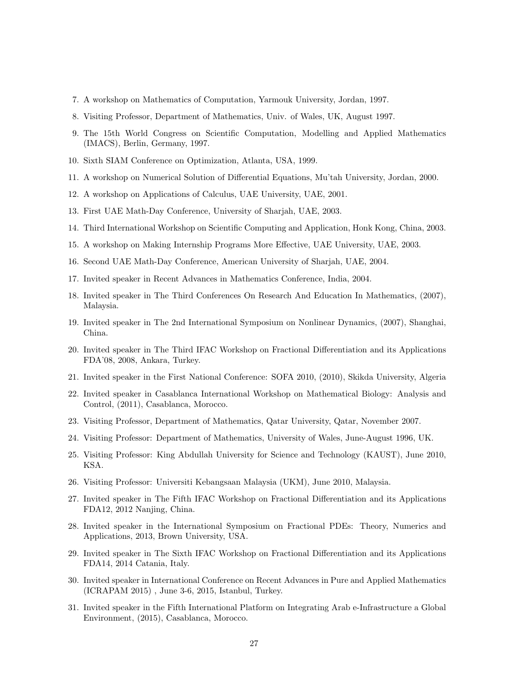- 7. A workshop on Mathematics of Computation, Yarmouk University, Jordan, 1997.
- 8. Visiting Professor, Department of Mathematics, Univ. of Wales, UK, August 1997.
- 9. The 15th World Congress on Scientific Computation, Modelling and Applied Mathematics (IMACS), Berlin, Germany, 1997.
- 10. Sixth SIAM Conference on Optimization, Atlanta, USA, 1999.
- 11. A workshop on Numerical Solution of Differential Equations, Mu'tah University, Jordan, 2000.
- 12. A workshop on Applications of Calculus, UAE University, UAE, 2001.
- 13. First UAE Math-Day Conference, University of Sharjah, UAE, 2003.
- 14. Third International Workshop on Scientific Computing and Application, Honk Kong, China, 2003.
- 15. A workshop on Making Internship Programs More Effective, UAE University, UAE, 2003.
- 16. Second UAE Math-Day Conference, American University of Sharjah, UAE, 2004.
- 17. Invited speaker in Recent Advances in Mathematics Conference, India, 2004.
- 18. Invited speaker in The Third Conferences On Research And Education In Mathematics, (2007), Malaysia.
- 19. Invited speaker in The 2nd International Symposium on Nonlinear Dynamics, (2007), Shanghai, China.
- 20. Invited speaker in The Third IFAC Workshop on Fractional Differentiation and its Applications FDA'08, 2008, Ankara, Turkey.
- 21. Invited speaker in the First National Conference: SOFA 2010, (2010), Skikda University, Algeria
- 22. Invited speaker in Casablanca International Workshop on Mathematical Biology: Analysis and Control, (2011), Casablanca, Morocco.
- 23. Visiting Professor, Department of Mathematics, Qatar University, Qatar, November 2007.
- 24. Visiting Professor: Department of Mathematics, University of Wales, June-August 1996, UK.
- 25. Visiting Professor: King Abdullah University for Science and Technology (KAUST), June 2010, KSA.
- 26. Visiting Professor: Universiti Kebangsaan Malaysia (UKM), June 2010, Malaysia.
- 27. Invited speaker in The Fifth IFAC Workshop on Fractional Differentiation and its Applications FDA12, 2012 Nanjing, China.
- 28. Invited speaker in the International Symposium on Fractional PDEs: Theory, Numerics and Applications, 2013, Brown University, USA.
- 29. Invited speaker in The Sixth IFAC Workshop on Fractional Differentiation and its Applications FDA14, 2014 Catania, Italy.
- 30. Invited speaker in International Conference on Recent Advances in Pure and Applied Mathematics (ICRAPAM 2015) , June 3-6, 2015, Istanbul, Turkey.
- 31. Invited speaker in the Fifth International Platform on Integrating Arab e-Infrastructure a Global Environment, (2015), Casablanca, Morocco.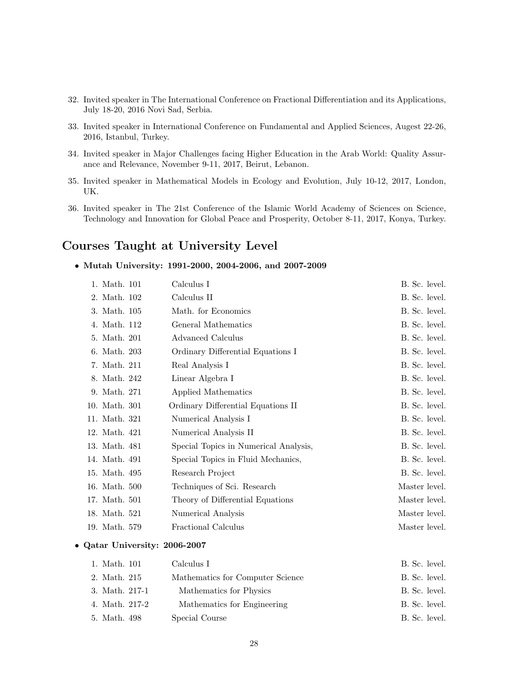- 32. Invited speaker in The International Conference on Fractional Differentiation and its Applications, July 18-20, 2016 Novi Sad, Serbia.
- 33. Invited speaker in International Conference on Fundamental and Applied Sciences, Augest 22-26, 2016, Istanbul, Turkey.
- 34. Invited speaker in Major Challenges facing Higher Education in the Arab World: Quality Assurance and Relevance, November 9-11, 2017, Beirut, Lebanon.
- 35. Invited speaker in Mathematical Models in Ecology and Evolution, July 10-12, 2017, London, UK.
- 36. Invited speaker in The 21st Conference of the Islamic World Academy of Sciences on Science, Technology and Innovation for Global Peace and Prosperity, October 8-11, 2017, Konya, Turkey.

## Courses Taught at University Level

• Mutah University: 1991-2000, 2004-2006, and 2007-2009

| 1. Math. 101  | Calculus I                            | B. Sc. level. |
|---------------|---------------------------------------|---------------|
| 2. Math. 102  | Calculus II                           | B. Sc. level. |
| 3. Math. 105  | Math. for Economics                   | B. Sc. level. |
| 4. Math. 112  | General Mathematics                   | B. Sc. level. |
| 5. Math. 201  | Advanced Calculus                     | B. Sc. level. |
| 6. Math. 203  | Ordinary Differential Equations I     | B. Sc. level. |
| 7. Math. 211  | Real Analysis I                       | B. Sc. level. |
| 8. Math. 242  | Linear Algebra I                      | B. Sc. level. |
| 9. Math. 271  | Applied Mathematics                   | B. Sc. level. |
| 10. Math. 301 | Ordinary Differential Equations II    | B. Sc. level. |
| 11. Math. 321 | Numerical Analysis I                  | B. Sc. level. |
| 12. Math. 421 | Numerical Analysis II                 | B. Sc. level. |
| 13. Math. 481 | Special Topics in Numerical Analysis, | B. Sc. level. |
| 14. Math. 491 | Special Topics in Fluid Mechanics,    | B. Sc. level. |
| 15. Math. 495 | Research Project                      | B. Sc. level. |
| 16. Math. 500 | Techniques of Sci. Research           | Master level. |
| 17. Math. 501 | Theory of Differential Equations      | Master level. |
| 18. Math. 521 | Numerical Analysis                    | Master level. |
| 19. Math. 579 | Fractional Calculus                   | Master level. |

#### • Qatar University: 2006-2007

| 1. Math. 101   | Calculus I                       | B. Sc. level. |
|----------------|----------------------------------|---------------|
| 2. Math. 215   | Mathematics for Computer Science | B. Sc. level. |
| 3. Math. 217-1 | Mathematics for Physics          | B. Sc. level. |
| 4. Math. 217-2 | Mathematics for Engineering      | B. Sc. level. |
| 5. Math. 498   | Special Course                   | B. Sc. level. |
|                |                                  |               |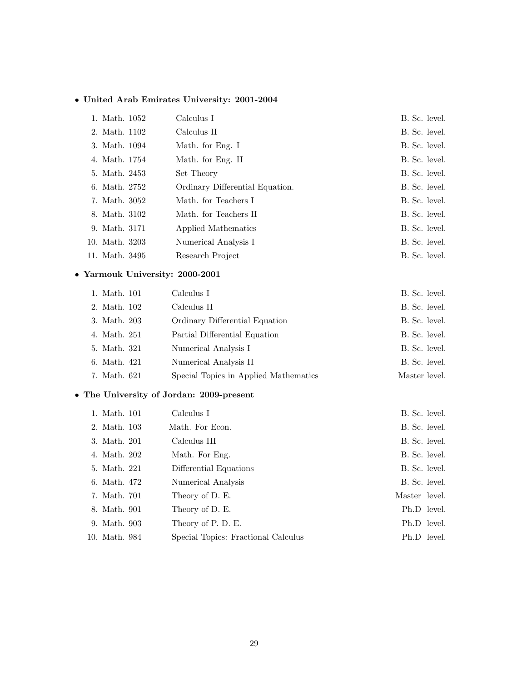#### • United Arab Emirates University: 2001-2004

| 1. Math. 1052  | Calculus I  |                                 | B. Sc. level. |  |
|----------------|-------------|---------------------------------|---------------|--|
| 2. Math. 1102  | Calculus II |                                 | B. Sc. level. |  |
| 3. Math. 1094  |             | Math. for Eng. I                | B. Sc. level. |  |
| 4. Math. 1754  |             | Math. for Eng. II               | B. Sc. level. |  |
| 5. Math. 2453  | Set Theory  |                                 | B. Sc. level. |  |
| 6. Math. 2752  |             | Ordinary Differential Equation. | B. Sc. level. |  |
| 7. Math. 3052  |             | Math. for Teachers I            | B. Sc. level. |  |
| 8. Math. 3102  |             | Math. for Teachers II           | B. Sc. level. |  |
| 9. Math. 3171  |             | Applied Mathematics             | B. Sc. level. |  |
| 10. Math. 3203 |             | Numerical Analysis I            | B. Sc. level. |  |
| 11. Math. 3495 |             | Research Project                | B. Sc. level. |  |

#### • Yarmouk University: 2000-2001

| 1. Math. 101 | Calculus I                            | B. Sc. level. |
|--------------|---------------------------------------|---------------|
| 2. Math. 102 | Calculus II                           | B. Sc. level. |
| 3. Math. 203 | Ordinary Differential Equation        | B. Sc. level. |
| 4. Math. 251 | Partial Differential Equation         | B. Sc. level. |
| 5. Math. 321 | Numerical Analysis I                  | B. Sc. level. |
| 6. Math. 421 | Numerical Analysis II                 | B. Sc. level. |
| 7. Math. 621 | Special Topics in Applied Mathematics | Master level. |
|              |                                       |               |

#### • The University of Jordan: 2009-present

| 1. Math. 101  | Calculus I                          | B. Sc. level. |  |
|---------------|-------------------------------------|---------------|--|
| 2. Math. 103  | Math. For Econ.                     | B. Sc. level. |  |
| 3. Math. 201  | Calculus III                        | B. Sc. level. |  |
| 4. Math. 202  | Math. For Eng.                      | B. Sc. level. |  |
| 5. Math. 221  | Differential Equations              | B. Sc. level. |  |
| 6. Math. 472  | Numerical Analysis                  | B. Sc. level. |  |
| 7. Math. 701  | Theory of D. E.                     | Master level. |  |
| 8. Math. 901  | Theory of D. E.                     | Ph.D level.   |  |
| 9. Math. 903  | Theory of P. D. E.                  | Ph.D level.   |  |
| 10. Math. 984 | Special Topics: Fractional Calculus | Ph.D level.   |  |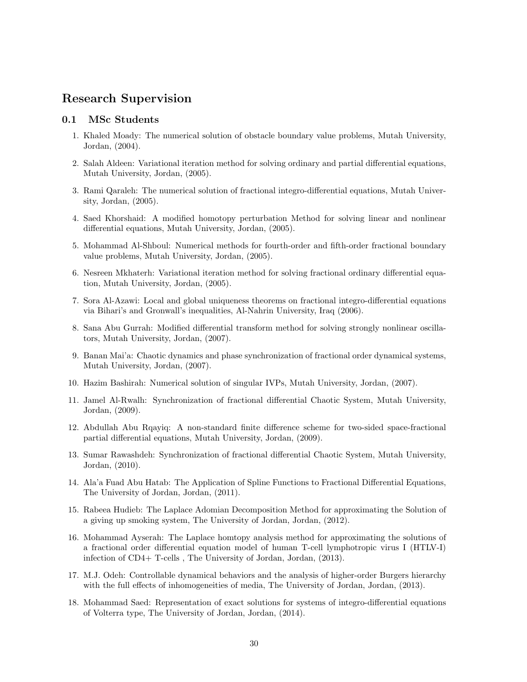## Research Supervision

#### 0.1 MSc Students

- 1. Khaled Moady: The numerical solution of obstacle boundary value problems, Mutah University, Jordan, (2004).
- 2. Salah Aldeen: Variational iteration method for solving ordinary and partial differential equations, Mutah University, Jordan, (2005).
- 3. Rami Qaraleh: The numerical solution of fractional integro-differential equations, Mutah University, Jordan, (2005).
- 4. Saed Khorshaid: A modified homotopy perturbation Method for solving linear and nonlinear differential equations, Mutah University, Jordan, (2005).
- 5. Mohammad Al-Shboul: Numerical methods for fourth-order and fifth-order fractional boundary value problems, Mutah University, Jordan, (2005).
- 6. Nesreen Mkhaterh: Variational iteration method for solving fractional ordinary differential equation, Mutah University, Jordan, (2005).
- 7. Sora Al-Azawi: Local and global uniqueness theorems on fractional integro-differential equations via Bihari's and Gronwall's inequalities, Al-Nahrin University, Iraq (2006).
- 8. Sana Abu Gurrah: Modified differential transform method for solving strongly nonlinear oscillators, Mutah University, Jordan, (2007).
- 9. Banan Mai'a: Chaotic dynamics and phase synchronization of fractional order dynamical systems, Mutah University, Jordan, (2007).
- 10. Hazim Bashirah: Numerical solution of singular IVPs, Mutah University, Jordan, (2007).
- 11. Jamel Al-Rwalh: Synchronization of fractional differential Chaotic System, Mutah University, Jordan, (2009).
- 12. Abdullah Abu Rqayiq: A non-standard finite difference scheme for two-sided space-fractional partial differential equations, Mutah University, Jordan, (2009).
- 13. Sumar Rawashdeh: Synchronization of fractional differential Chaotic System, Mutah University, Jordan, (2010).
- 14. Ala'a Fuad Abu Hatab: The Application of Spline Functions to Fractional Differential Equations, The University of Jordan, Jordan, (2011).
- 15. Rabeea Hudieb: The Laplace Adomian Decomposition Method for approximating the Solution of a giving up smoking system, The University of Jordan, Jordan, (2012).
- 16. Mohammad Ayserah: The Laplace homtopy analysis method for approximating the solutions of a fractional order differential equation model of human T-cell lymphotropic virus I (HTLV-I) infection of CD4+ T-cells , The University of Jordan, Jordan, (2013).
- 17. M.J. Odeh: Controllable dynamical behaviors and the analysis of higher-order Burgers hierarchy with the full effects of inhomogeneities of media, The University of Jordan, Jordan, (2013).
- 18. Mohammad Saed: Representation of exact solutions for systems of integro-differential equations of Volterra type, The University of Jordan, Jordan, (2014).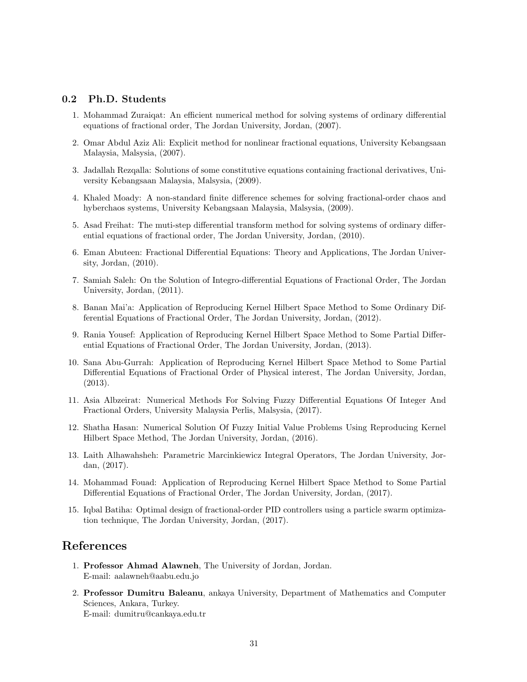#### 0.2 Ph.D. Students

- 1. Mohammad Zuraiqat: An efficient numerical method for solving systems of ordinary differential equations of fractional order, The Jordan University, Jordan, (2007).
- 2. Omar Abdul Aziz Ali: Explicit method for nonlinear fractional equations, University Kebangsaan Malaysia, Malsysia, (2007).
- 3. Jadallah Rezqalla: Solutions of some constitutive equations containing fractional derivatives, University Kebangsaan Malaysia, Malsysia, (2009).
- 4. Khaled Moady: A non-standard finite difference schemes for solving fractional-order chaos and hyberchaos systems, University Kebangsaan Malaysia, Malsysia, (2009).
- 5. Asad Freihat: The muti-step differential transform method for solving systems of ordinary differential equations of fractional order, The Jordan University, Jordan, (2010).
- 6. Eman Abuteen: Fractional Differential Equations: Theory and Applications, The Jordan University, Jordan, (2010).
- 7. Samiah Saleh: On the Solution of Integro-differential Equations of Fractional Order, The Jordan University, Jordan, (2011).
- 8. Banan Mai'a: Application of Reproducing Kernel Hilbert Space Method to Some Ordinary Differential Equations of Fractional Order, The Jordan University, Jordan, (2012).
- 9. Rania Yousef: Application of Reproducing Kernel Hilbert Space Method to Some Partial Differential Equations of Fractional Order, The Jordan University, Jordan, (2013).
- 10. Sana Abu-Gurrah: Application of Reproducing Kernel Hilbert Space Method to Some Partial Differential Equations of Fractional Order of Physical interest, The Jordan University, Jordan, (2013).
- 11. Asia Albzeirat: Numerical Methods For Solving Fuzzy Differential Equations Of Integer And Fractional Orders, University Malaysia Perlis, Malsysia, (2017).
- 12. Shatha Hasan: Numerical Solution Of Fuzzy Initial Value Problems Using Reproducing Kernel Hilbert Space Method, The Jordan University, Jordan, (2016).
- 13. Laith Alhawahsheh: Parametric Marcinkiewicz Integral Operators, The Jordan University, Jordan, (2017).
- 14. Mohammad Fouad: Application of Reproducing Kernel Hilbert Space Method to Some Partial Differential Equations of Fractional Order, The Jordan University, Jordan, (2017).
- 15. Iqbal Batiha: Optimal design of fractional-order PID controllers using a particle swarm optimization technique, The Jordan University, Jordan, (2017).

### References

- 1. Professor Ahmad Alawneh, The University of Jordan, Jordan. E-mail: aalawneh@aabu.edu.jo
- 2. Professor Dumitru Baleanu, ankaya University, Department of Mathematics and Computer Sciences, Ankara, Turkey. E-mail: dumitru@cankaya.edu.tr